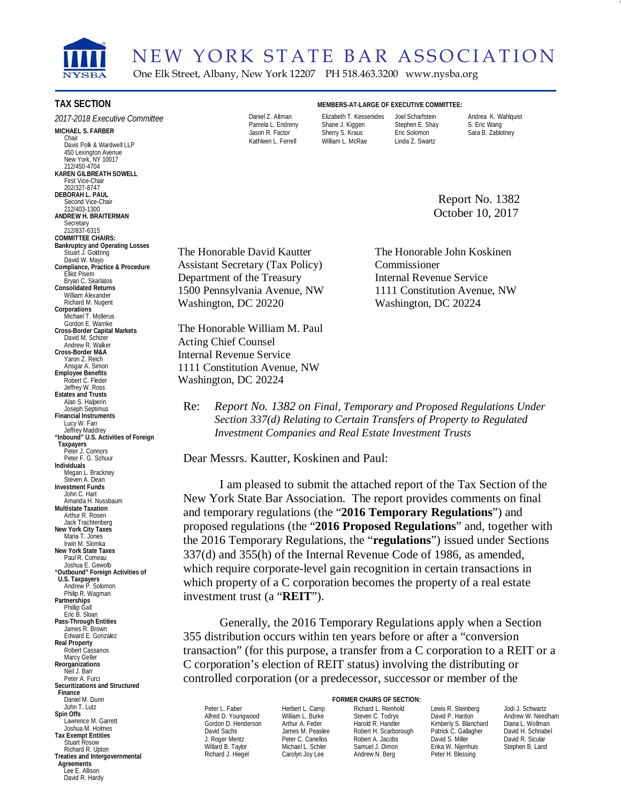

NEW YORK STATE BAR ASSOCIATION One Elk Street, Albany, New York 12207 PH 518.463.3200 www.nysba.org

#### **TAX SECTION**

**MICHAEL S. FARBER**  *2017-2018 Executive Committee* 

 **KAREN GILBREATH SOWELL**  Chair Davis Polk & Wardwell LLP 450 Lexington Avenue New York<sup>Y</sup>NY 10017 212/450-4704 First Vice-Chair 202/327-8747 **DEBORAH L. PAUL**  Second Vice-Chair 212/403-1300 **ANDREW H. BRAITERMAN**  Secretary 212/837-6315 **COMMITTEE CHAIRS: Bankruptcy and Operating Losses** Stuart J. Goldring David W. Mayo **Compliance, Practice & Procedure** Elliot Pisem Bryan C. Skarlatos **Consolidated Returns**  William Alexander Richard M. Nugent **Corporations** Michael T. Mollerus Gordon E. Warnke **Cross-Border Capital Markets**  David M. Schizer Andrew R. Walker **Cross-Border M&A**  Yaron Z. Reich Ansgar A. Simon **Employee Benefits**  Robert C. Fleder Jeffrey W. Ross **Estates and Trusts** Alan S. Halperin Joseph Septimus **Financial Instruments** Lucy W. Farr Jeffrey Maddrey **"Inbound" U.S. Activities of Foreign Taxpayers** Peter J. Connors Peter F. G. Schuur **Individuals**  Megan L. Brackney Steven A. Dean **Investment Funds** John C. Hart Amanda H. Nussbaum **Multistate Taxation** Arthur R. Rosen Jack Trachtenberg **New York City Taxes** Maria T. Jones<br>Irwin M. Slomka **New York State Taxes** Paul R. Comeau<br>Joshua E. Gewolb **"Outbound" Foreign Activities of U.S. Taxpayers**  Andrew P. Solomon Philip R. Wagman **Partnerships** Phillip Gall Eric B. Sloan **Pass-Through Entities** James R. Brown Edward E. Gonzalez **Real Property** Robert Cassanos Marcy Geller **Reorganizations** Neil J. Barr Peter A. Furci **Securitizations and Structured Finance** Daniel M. Dunn John T. Lutz **Spin Offs**  Lawrence M. Garrett Joshua M. Holmes **Tax Exempt Entities** Stuart Rosow Richard R. Upton **Treaties and Intergovernmental Agreements** 

Lee E. Allison David R. Hardy

Kathleen L. Ferrell William L. McRae Linda Z. Swartz

**MEMBERS-AT-LARGE OF EXECUTIVE COMMITTEE:**  Daniel Z. Altman Elizabeth T. Kessenides Joel Scharfstein Andrea K. Wahlquist Pamela L. Endreny Shane J. Kiggen Stephen E. Shay S. Eric Wang<br>Jason R. Factor Sherry S. Kraus Eric Solomon Sara B. Zablc

Sara B. Zablotney

 Report No. 1382 October 10, 2017

The Honorable David Kautter Assistant Secretary (Tax Policy) Department of the Treasury 1500 Pennsylvania Avenue, NW Washington, DC 20220

The Honorable William M. Paul Acting Chief Counsel Internal Revenue Service 1111 Constitution Avenue, NW Washington, DC 20224

The Honorable John Koskinen Commissioner Internal Revenue Service 1111 Constitution Avenue, NW Washington, DC 20224

Re: *Report No. 1382 on Final, Temporary and Proposed Regulations Under Section 337(d) Relating to Certain Transfers of Property to Regulated Investment Companies and Real Estate Investment Trusts*

Dear Messrs. Kautter, Koskinen and Paul:

I am pleased to submit the attached report of the Tax Section of the New York State Bar Association. The report provides comments on final and temporary regulations (the "**2016 Temporary Regulations**") and proposed regulations (the "**2016 Proposed Regulations**" and, together with the 2016 Temporary Regulations, the "**regulations**") issued under Sections 337(d) and 355(h) of the Internal Revenue Code of 1986, as amended, which require corporate-level gain recognition in certain transactions in which property of a C corporation becomes the property of a real estate investment trust (a "**REIT**").

Generally, the 2016 Temporary Regulations apply when a Section 355 distribution occurs within ten years before or after a "conversion transaction" (for this purpose, a transfer from a C corporation to a REIT or a C corporation's election of REIT status) involving the distributing or controlled corporation (or a predecessor, successor or member of the

Willard B. Taylor Michael L. Schler Samuel J. Dimon Erika W. Nijenhuis<br>Richard J. Hiegel Carolyn Joy Lee Andrew N. Berg Peter H. Blessing

**FORMER CHAIRS OF SECTION:**

Peter L. Faber Herbert L. Camp Richard L. Reinhold Lewis R. Steinberg Jodi J. Schwartz Alfred D. Youngwood William L. Burke Steven C. Todrys David P. Hariton Andrew W. Needh<br>Gordon D. Henderson Arthur A. Feder Harold R. Handler Kimberly S. Blanchard Diana I. Wollman Gordon D. Henderson Arthur A. Feder Harold R. Handler Kimberly S. Blanchard Diana L. Wollman Cavid Sachs James M. Peaslee Robert H. Scarborough Patrick C. Gallagher David H. Schnabel David Sachs James M. Peaslee Robert H. Scarborough Patrick C. Gallagher David H. Schnabel J. Roger Mentz Peter C. Canellos Robert A. Jacobs David S. Miller David R. Sicular Peter H. Blessing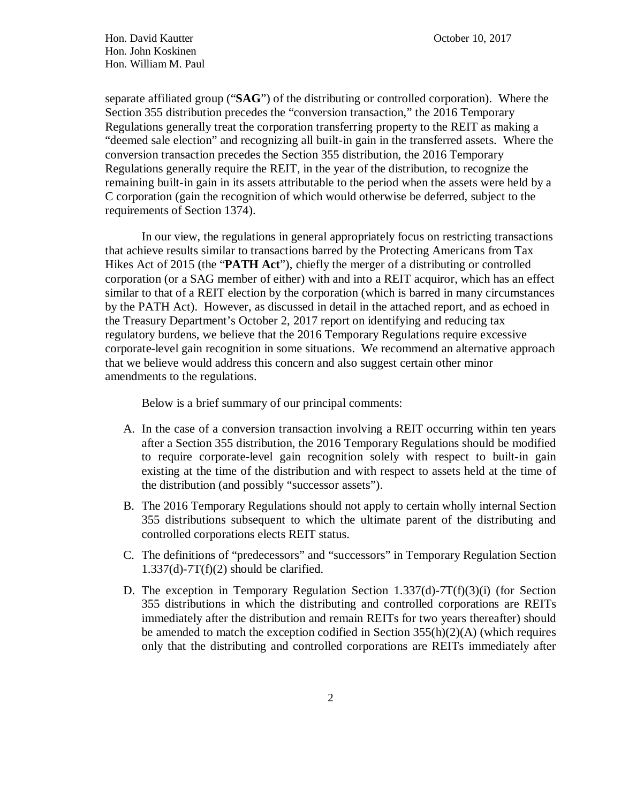separate affiliated group ("**SAG**") of the distributing or controlled corporation). Where the Section 355 distribution precedes the "conversion transaction," the 2016 Temporary Regulations generally treat the corporation transferring property to the REIT as making a "deemed sale election" and recognizing all built-in gain in the transferred assets. Where the conversion transaction precedes the Section 355 distribution, the 2016 Temporary Regulations generally require the REIT, in the year of the distribution, to recognize the remaining built-in gain in its assets attributable to the period when the assets were held by a C corporation (gain the recognition of which would otherwise be deferred, subject to the requirements of Section 1374).

In our view, the regulations in general appropriately focus on restricting transactions that achieve results similar to transactions barred by the Protecting Americans from Tax Hikes Act of 2015 (the "**PATH Act**"), chiefly the merger of a distributing or controlled corporation (or a SAG member of either) with and into a REIT acquiror, which has an effect similar to that of a REIT election by the corporation (which is barred in many circumstances by the PATH Act). However, as discussed in detail in the attached report, and as echoed in the Treasury Department's October 2, 2017 report on identifying and reducing tax regulatory burdens, we believe that the 2016 Temporary Regulations require excessive corporate-level gain recognition in some situations. We recommend an alternative approach that we believe would address this concern and also suggest certain other minor amendments to the regulations.

Below is a brief summary of our principal comments:

- A. In the case of a conversion transaction involving a REIT occurring within ten years after a Section 355 distribution, the 2016 Temporary Regulations should be modified to require corporate-level gain recognition solely with respect to built-in gain existing at the time of the distribution and with respect to assets held at the time of the distribution (and possibly "successor assets").
- B. The 2016 Temporary Regulations should not apply to certain wholly internal Section 355 distributions subsequent to which the ultimate parent of the distributing and controlled corporations elects REIT status.
- C. The definitions of "predecessors" and "successors" in Temporary Regulation Section  $1.337(d)$ -7T(f)(2) should be clarified.
- D. The exception in Temporary Regulation Section 1.337(d)-7T(f)(3)(i) (for Section 355 distributions in which the distributing and controlled corporations are REITs immediately after the distribution and remain REITs for two years thereafter) should be amended to match the exception codified in Section 355(h)(2)(A) (which requires only that the distributing and controlled corporations are REITs immediately after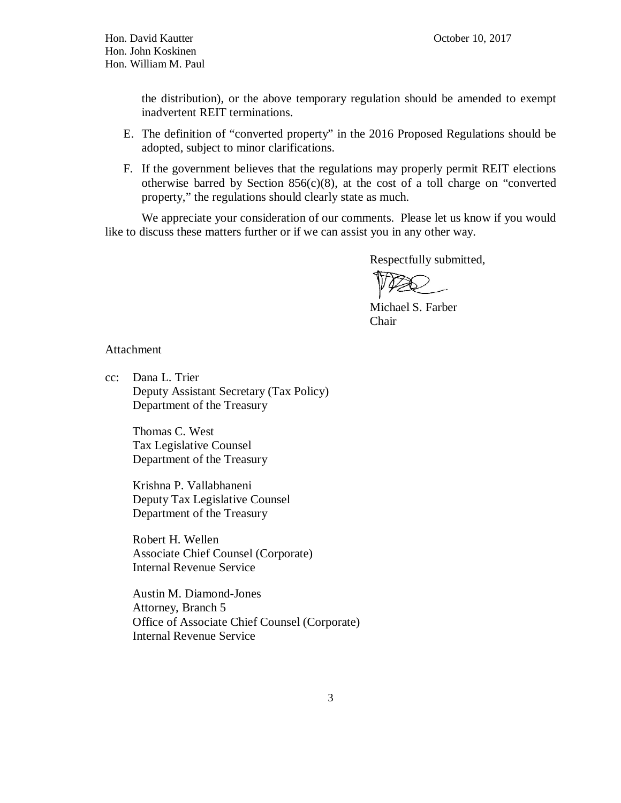Hon. David Kautter October 10, 2017 Hon. John Koskinen Hon. William M. Paul

the distribution), or the above temporary regulation should be amended to exempt inadvertent REIT terminations.

- E. The definition of "converted property" in the 2016 Proposed Regulations should be adopted, subject to minor clarifications.
- F. If the government believes that the regulations may properly permit REIT elections otherwise barred by Section  $856(c)(8)$ , at the cost of a toll charge on "converted" property," the regulations should clearly state as much.

 We appreciate your consideration of our comments. Please let us know if you would like to discuss these matters further or if we can assist you in any other way.

Respectfully submitted,

Michael S. Farber Chair

#### Attachment

cc: Dana L. Trier Deputy Assistant Secretary (Tax Policy) Department of the Treasury

> Thomas C. West Tax Legislative Counsel Department of the Treasury

Krishna P. Vallabhaneni Deputy Tax Legislative Counsel Department of the Treasury

Robert H. Wellen Associate Chief Counsel (Corporate) Internal Revenue Service

Austin M. Diamond-Jones Attorney, Branch 5 Office of Associate Chief Counsel (Corporate) Internal Revenue Service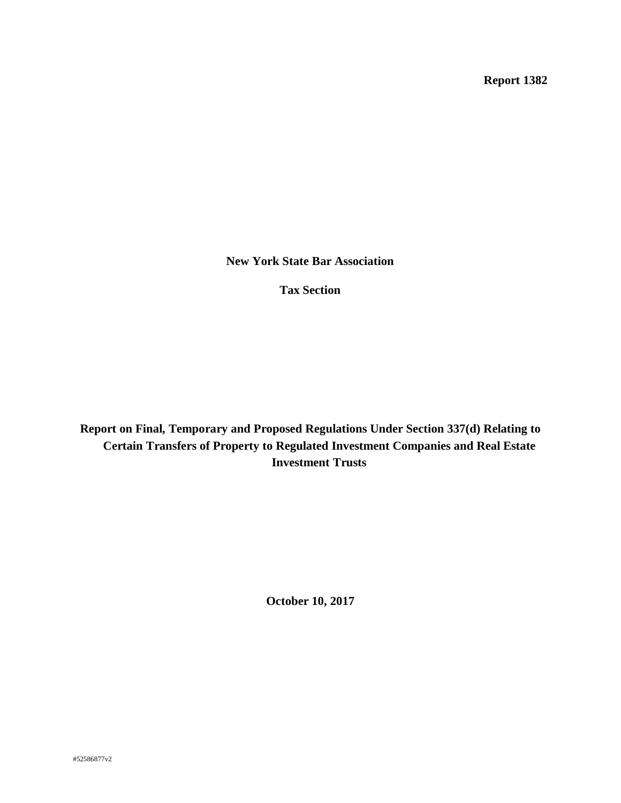**Report 1382** 

**New York State Bar Association** 

**Tax Section** 

**Report on Final, Temporary and Proposed Regulations Under Section 337(d) Relating to Certain Transfers of Property to Regulated Investment Companies and Real Estate Investment Trusts** 

**October 10, 2017**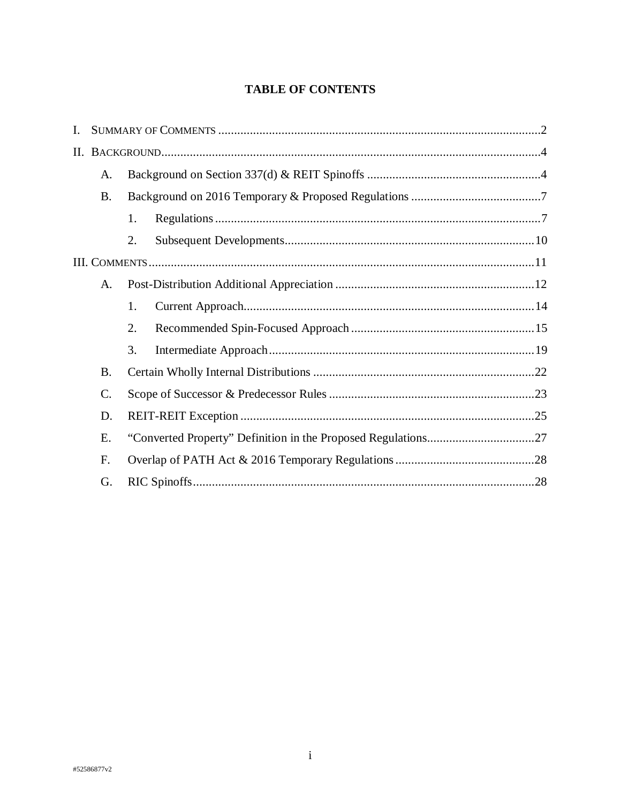## **TABLE OF CONTENTS**

| I. |                 |    |  |  |  |
|----|-----------------|----|--|--|--|
|    |                 |    |  |  |  |
|    | A.              |    |  |  |  |
|    | <b>B.</b>       |    |  |  |  |
|    |                 | 1. |  |  |  |
|    |                 | 2. |  |  |  |
|    |                 |    |  |  |  |
|    | A.              |    |  |  |  |
|    |                 | 1. |  |  |  |
|    |                 | 2. |  |  |  |
|    |                 | 3. |  |  |  |
|    | <b>B.</b>       |    |  |  |  |
|    | $\mathcal{C}$ . |    |  |  |  |
|    | D.              |    |  |  |  |
|    | E.              |    |  |  |  |
|    | F.              |    |  |  |  |
|    | G.              |    |  |  |  |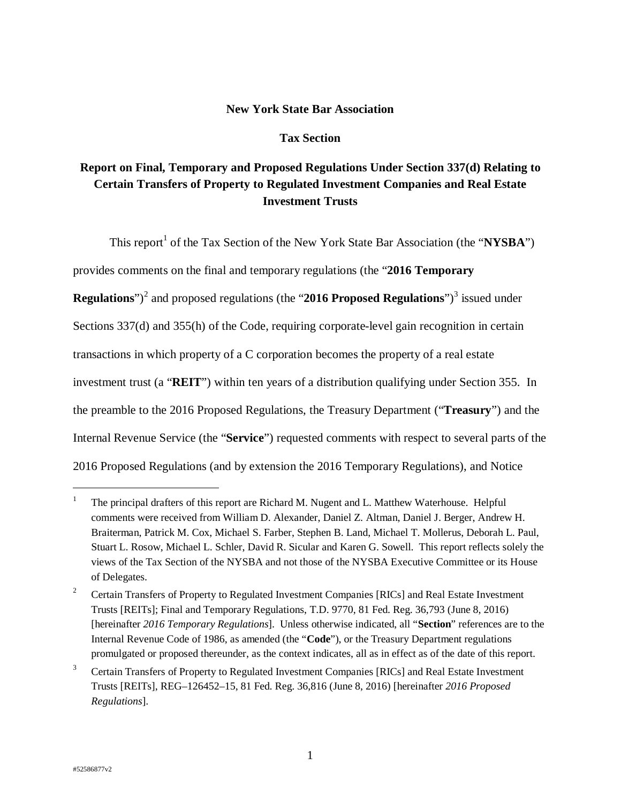## **New York State Bar Association**

#### **Tax Section**

# **Report on Final, Temporary and Proposed Regulations Under Section 337(d) Relating to Certain Transfers of Property to Regulated Investment Companies and Real Estate Investment Trusts**

This report<sup>1</sup> of the Tax Section of the New York State Bar Association (the "NYSBA") provides comments on the final and temporary regulations (the "**2016 Temporary Regulations**")<sup>2</sup> and proposed regulations (the "2016 Proposed Regulations")<sup>3</sup> issued under Sections 337(d) and 355(h) of the Code, requiring corporate-level gain recognition in certain transactions in which property of a C corporation becomes the property of a real estate investment trust (a "**REIT**") within ten years of a distribution qualifying under Section 355. In the preamble to the 2016 Proposed Regulations, the Treasury Department ("**Treasury**") and the Internal Revenue Service (the "**Service**") requested comments with respect to several parts of the 2016 Proposed Regulations (and by extension the 2016 Temporary Regulations), and Notice

<sup>1</sup> The principal drafters of this report are Richard M. Nugent and L. Matthew Waterhouse. Helpful comments were received from William D. Alexander, Daniel Z. Altman, Daniel J. Berger, Andrew H. Braiterman, Patrick M. Cox, Michael S. Farber, Stephen B. Land, Michael T. Mollerus, Deborah L. Paul, Stuart L. Rosow, Michael L. Schler, David R. Sicular and Karen G. Sowell. This report reflects solely the views of the Tax Section of the NYSBA and not those of the NYSBA Executive Committee or its House of Delegates.

<sup>2</sup> Certain Transfers of Property to Regulated Investment Companies [RICs] and Real Estate Investment Trusts [REITs]; Final and Temporary Regulations, T.D. 9770, 81 Fed. Reg. 36,793 (June 8, 2016) [hereinafter *2016 Temporary Regulations*]. Unless otherwise indicated, all "**Section**" references are to the Internal Revenue Code of 1986, as amended (the "**Code**"), or the Treasury Department regulations promulgated or proposed thereunder, as the context indicates, all as in effect as of the date of this report.

<sup>3</sup> Certain Transfers of Property to Regulated Investment Companies [RICs] and Real Estate Investment Trusts [REITs], REG–126452–15, 81 Fed. Reg. 36,816 (June 8, 2016) [hereinafter *2016 Proposed Regulations*].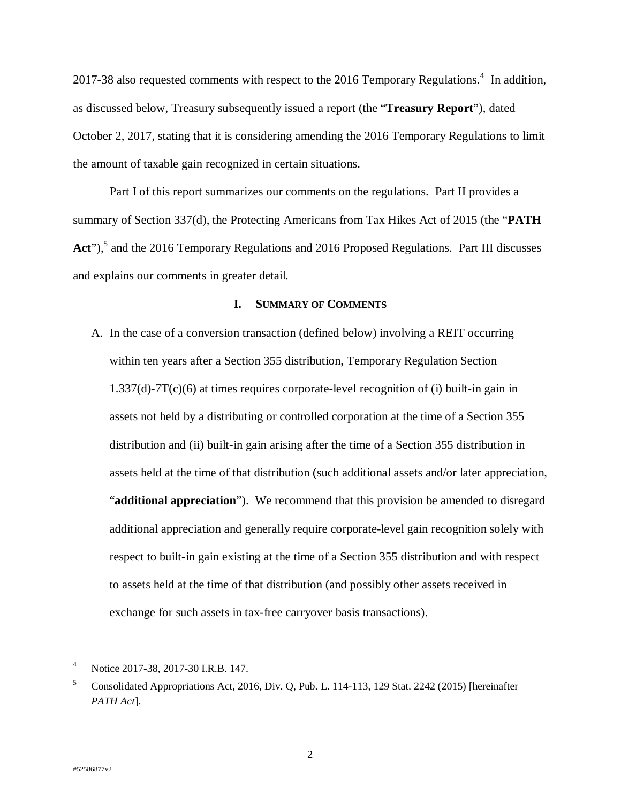2017-38 also requested comments with respect to the 2016 Temporary Regulations.<sup>4</sup> In addition, as discussed below, Treasury subsequently issued a report (the "**Treasury Report**"), dated October 2, 2017, stating that it is considering amending the 2016 Temporary Regulations to limit the amount of taxable gain recognized in certain situations.

Part I of this report summarizes our comments on the regulations. Part II provides a summary of Section 337(d), the Protecting Americans from Tax Hikes Act of 2015 (the "**PATH**  Act"),<sup>5</sup> and the 2016 Temporary Regulations and 2016 Proposed Regulations. Part III discusses and explains our comments in greater detail.

#### **I. SUMMARY OF COMMENTS**

A. In the case of a conversion transaction (defined below) involving a REIT occurring within ten years after a Section 355 distribution, Temporary Regulation Section  $1.337(d)$ -7T(c)(6) at times requires corporate-level recognition of (i) built-in gain in assets not held by a distributing or controlled corporation at the time of a Section 355 distribution and (ii) built-in gain arising after the time of a Section 355 distribution in assets held at the time of that distribution (such additional assets and/or later appreciation, "**additional appreciation**"). We recommend that this provision be amended to disregard additional appreciation and generally require corporate-level gain recognition solely with respect to built-in gain existing at the time of a Section 355 distribution and with respect to assets held at the time of that distribution (and possibly other assets received in exchange for such assets in tax-free carryover basis transactions).

<sup>4</sup> Notice 2017-38, 2017-30 I.R.B. 147.

<sup>5</sup> Consolidated Appropriations Act, 2016, Div. Q, Pub. L. 114-113, 129 Stat. 2242 (2015) [hereinafter *PATH Act*].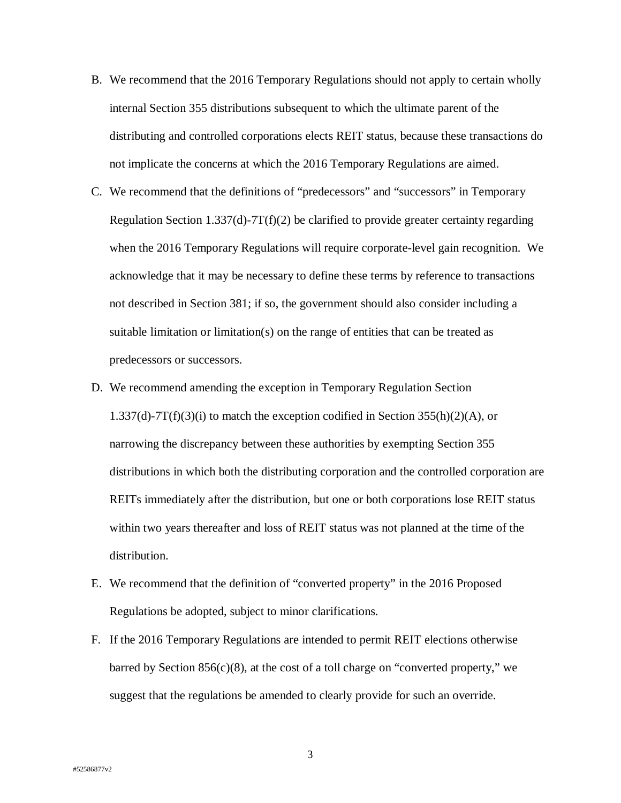- B. We recommend that the 2016 Temporary Regulations should not apply to certain wholly internal Section 355 distributions subsequent to which the ultimate parent of the distributing and controlled corporations elects REIT status, because these transactions do not implicate the concerns at which the 2016 Temporary Regulations are aimed.
- C. We recommend that the definitions of "predecessors" and "successors" in Temporary Regulation Section 1.337(d)-7T(f)(2) be clarified to provide greater certainty regarding when the 2016 Temporary Regulations will require corporate-level gain recognition. We acknowledge that it may be necessary to define these terms by reference to transactions not described in Section 381; if so, the government should also consider including a suitable limitation or limitation(s) on the range of entities that can be treated as predecessors or successors.
- D. We recommend amending the exception in Temporary Regulation Section 1.337(d)-7T(f)(3)(i) to match the exception codified in Section 355(h)(2)(A), or narrowing the discrepancy between these authorities by exempting Section 355 distributions in which both the distributing corporation and the controlled corporation are REITs immediately after the distribution, but one or both corporations lose REIT status within two years thereafter and loss of REIT status was not planned at the time of the distribution.
- E. We recommend that the definition of "converted property" in the 2016 Proposed Regulations be adopted, subject to minor clarifications.
- F. If the 2016 Temporary Regulations are intended to permit REIT elections otherwise barred by Section  $856(c)(8)$ , at the cost of a toll charge on "converted property," we suggest that the regulations be amended to clearly provide for such an override.

3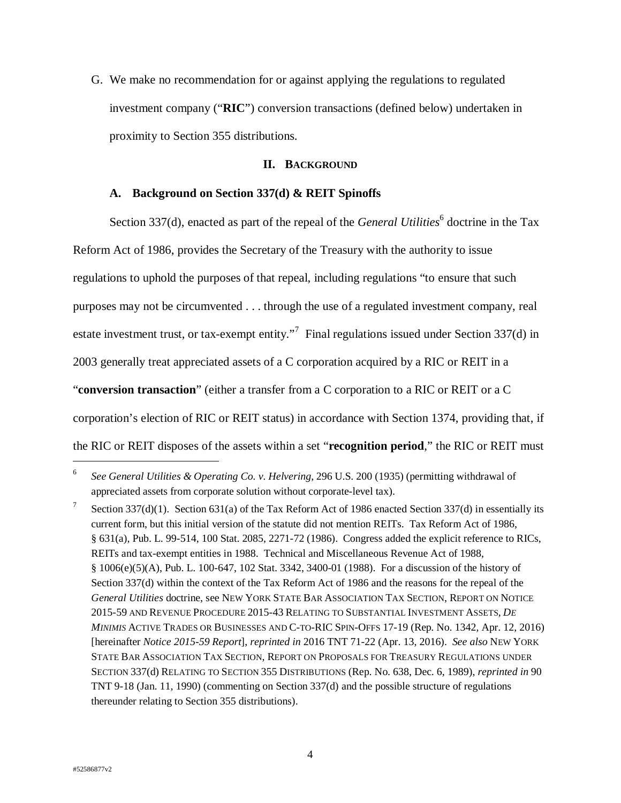G. We make no recommendation for or against applying the regulations to regulated investment company ("**RIC**") conversion transactions (defined below) undertaken in proximity to Section 355 distributions.

## **II. BACKGROUND**

## **A. Background on Section 337(d) & REIT Spinoffs**

Section 337(d), enacted as part of the repeal of the *General Utilities*<sup>6</sup> doctrine in the Tax Reform Act of 1986, provides the Secretary of the Treasury with the authority to issue regulations to uphold the purposes of that repeal, including regulations "to ensure that such purposes may not be circumvented . . . through the use of a regulated investment company, real estate investment trust, or tax-exempt entity."<sup>7</sup> Final regulations issued under Section 337(d) in 2003 generally treat appreciated assets of a C corporation acquired by a RIC or REIT in a "**conversion transaction**" (either a transfer from a C corporation to a RIC or REIT or a C corporation's election of RIC or REIT status) in accordance with Section 1374, providing that, if the RIC or REIT disposes of the assets within a set "**recognition period**," the RIC or REIT must

<sup>6</sup> *See General Utilities & Operating Co. v. Helvering*, 296 U.S. 200 (1935) (permitting withdrawal of appreciated assets from corporate solution without corporate-level tax).

<sup>7</sup> Section 337(d)(1). Section 631(a) of the Tax Reform Act of 1986 enacted Section 337(d) in essentially its current form, but this initial version of the statute did not mention REITs. Tax Reform Act of 1986, § 631(a), Pub. L. 99-514, 100 Stat. 2085, 2271-72 (1986). Congress added the explicit reference to RICs, REITs and tax-exempt entities in 1988. Technical and Miscellaneous Revenue Act of 1988, § 1006(e)(5)(A), Pub. L. 100-647, 102 Stat. 3342, 3400-01 (1988). For a discussion of the history of Section 337(d) within the context of the Tax Reform Act of 1986 and the reasons for the repeal of the *General Utilities* doctrine, see NEW YORK STATE BAR ASSOCIATION TAX SECTION, REPORT ON NOTICE 2015-59 AND REVENUE PROCEDURE 2015-43 RELATING TO SUBSTANTIAL INVESTMENT ASSETS, *DE MINIMIS* ACTIVE TRADES OR BUSINESSES AND C-TO-RIC SPIN-OFFS 17-19 (Rep. No. 1342, Apr. 12, 2016) [hereinafter *Notice 2015-59 Report*], *reprinted in* 2016 TNT 71-22 (Apr. 13, 2016). *See also* NEW YORK STATE BAR ASSOCIATION TAX SECTION, REPORT ON PROPOSALS FOR TREASURY REGULATIONS UNDER SECTION 337(d) RELATING TO SECTION 355 DISTRIBUTIONS (Rep. No. 638, Dec. 6, 1989), *reprinted in* 90 TNT 9-18 (Jan. 11, 1990) (commenting on Section 337(d) and the possible structure of regulations thereunder relating to Section 355 distributions).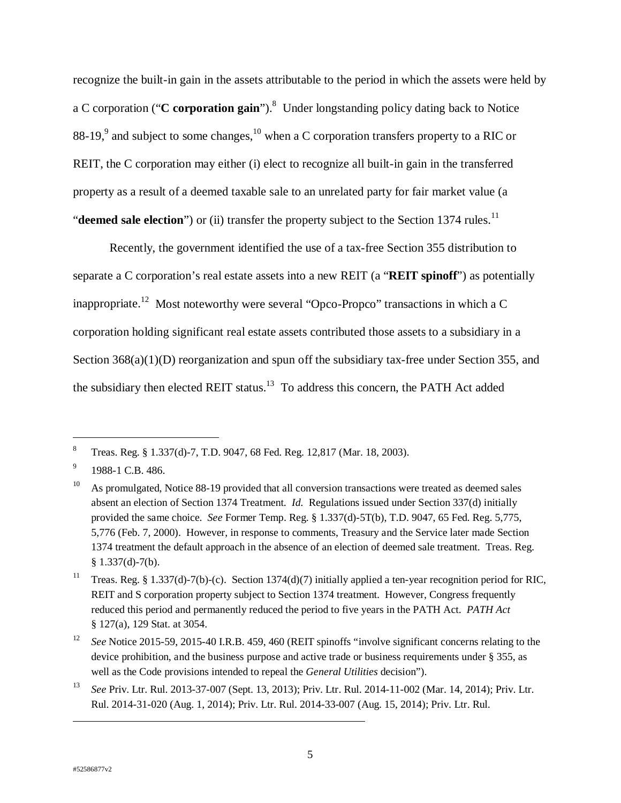recognize the built-in gain in the assets attributable to the period in which the assets were held by a C corporation ("C corporation gain").<sup>8</sup> Under longstanding policy dating back to Notice 88-19,<sup>9</sup> and subject to some changes,  $^{10}$  when a C corporation transfers property to a RIC or REIT, the C corporation may either (i) elect to recognize all built-in gain in the transferred property as a result of a deemed taxable sale to an unrelated party for fair market value (a "**deemed sale election**") or (ii) transfer the property subject to the Section 1374 rules.<sup>11</sup>

Recently, the government identified the use of a tax-free Section 355 distribution to separate a C corporation's real estate assets into a new REIT (a "**REIT spinoff**") as potentially inappropriate.<sup>12</sup> Most noteworthy were several "Opco-Propco" transactions in which a C corporation holding significant real estate assets contributed those assets to a subsidiary in a Section 368(a)(1)(D) reorganization and spun off the subsidiary tax-free under Section 355, and the subsidiary then elected REIT status.<sup>13</sup> To address this concern, the PATH Act added

-

 $\overline{a}$ 

<sup>8</sup> Treas. Reg. § 1.337(d)-7, T.D. 9047, 68 Fed. Reg. 12,817 (Mar. 18, 2003).

<sup>9</sup> 1988-1 C.B. 486.

 $10$  As promulgated, Notice 88-19 provided that all conversion transactions were treated as deemed sales absent an election of Section 1374 Treatment. *Id.* Regulations issued under Section 337(d) initially provided the same choice. *See* Former Temp. Reg. § 1.337(d)-5T(b), T.D. 9047, 65 Fed. Reg. 5,775, 5,776 (Feb. 7, 2000). However, in response to comments, Treasury and the Service later made Section 1374 treatment the default approach in the absence of an election of deemed sale treatment. Treas. Reg.  $§ 1.337(d)-7(b).$ 

<sup>&</sup>lt;sup>11</sup> Treas. Reg. § 1.337(d)-7(b)-(c). Section 1374(d)(7) initially applied a ten-year recognition period for RIC, REIT and S corporation property subject to Section 1374 treatment. However, Congress frequently reduced this period and permanently reduced the period to five years in the PATH Act. *PATH Act* § 127(a), 129 Stat. at 3054.

<sup>&</sup>lt;sup>12</sup> *See* Notice 2015-59, 2015-40 I.R.B. 459, 460 (REIT spinoffs "involve significant concerns relating to the device prohibition, and the business purpose and active trade or business requirements under § 355, as well as the Code provisions intended to repeal the *General Utilities* decision").

<sup>13</sup> *See* Priv. Ltr. Rul. 2013-37-007 (Sept. 13, 2013); Priv. Ltr. Rul. 2014-11-002 (Mar. 14, 2014); Priv. Ltr. Rul. 2014-31-020 (Aug. 1, 2014); Priv. Ltr. Rul. 2014-33-007 (Aug. 15, 2014); Priv. Ltr. Rul.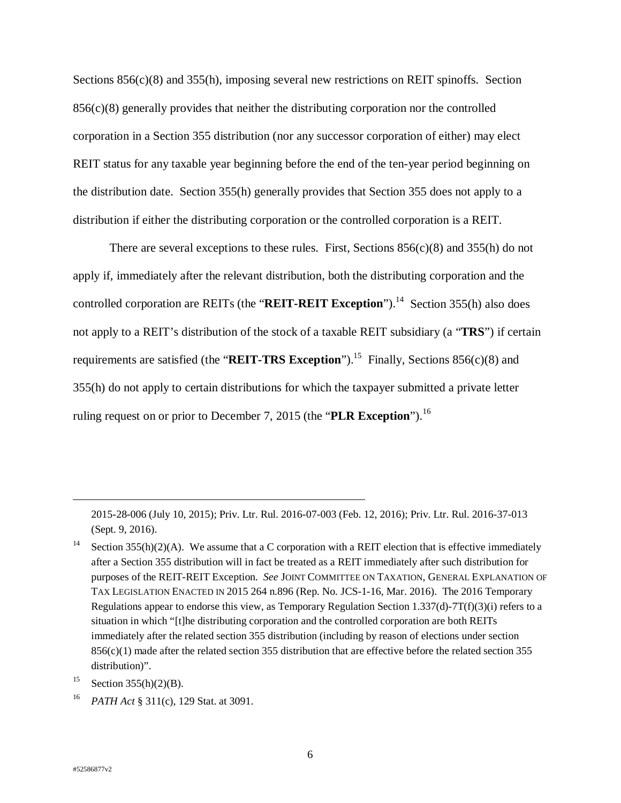Sections 856(c)(8) and 355(h), imposing several new restrictions on REIT spinoffs. Section  $856(c)(8)$  generally provides that neither the distributing corporation nor the controlled corporation in a Section 355 distribution (nor any successor corporation of either) may elect REIT status for any taxable year beginning before the end of the ten-year period beginning on the distribution date. Section 355(h) generally provides that Section 355 does not apply to a distribution if either the distributing corporation or the controlled corporation is a REIT.

There are several exceptions to these rules. First, Sections  $856(c)(8)$  and  $355(h)$  do not apply if, immediately after the relevant distribution, both the distributing corporation and the controlled corporation are REITs (the "**REIT-REIT Exception**").<sup>14</sup> Section 355(h) also does not apply to a REIT's distribution of the stock of a taxable REIT subsidiary (a "**TRS**") if certain requirements are satisfied (the "**REIT-TRS Exception**").<sup>15</sup> Finally, Sections 856(c)(8) and 355(h) do not apply to certain distributions for which the taxpayer submitted a private letter ruling request on or prior to December 7, 2015 (the "**PLR Exception**").<sup>16</sup>

<sup>16</sup> *PATH Act* § 311(c), 129 Stat. at 3091.

<sup>2015-28-006 (</sup>July 10, 2015); Priv. Ltr. Rul. 2016-07-003 (Feb. 12, 2016); Priv. Ltr. Rul. 2016-37-013 (Sept. 9, 2016).

Section  $355(h)(2)(A)$ . We assume that a C corporation with a REIT election that is effective immediately after a Section 355 distribution will in fact be treated as a REIT immediately after such distribution for purposes of the REIT-REIT Exception. *See* JOINT COMMITTEE ON TAXATION, GENERAL EXPLANATION OF TAX LEGISLATION ENACTED IN 2015 264 n.896 (Rep. No. JCS-1-16, Mar. 2016). The 2016 Temporary Regulations appear to endorse this view, as Temporary Regulation Section 1.337(d)-7T(f)(3)(i) refers to a situation in which "[t]he distributing corporation and the controlled corporation are both REITs immediately after the related section 355 distribution (including by reason of elections under section 856(c)(1) made after the related section 355 distribution that are effective before the related section 355 distribution)".

<sup>&</sup>lt;sup>15</sup> Section 355(h)(2)(B).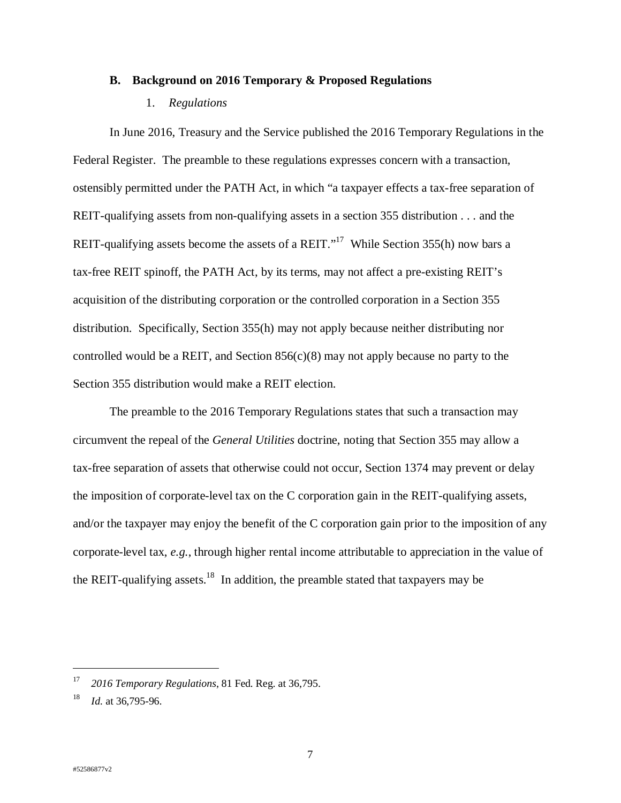#### **B. Background on 2016 Temporary & Proposed Regulations**

### 1. *Regulations*

In June 2016, Treasury and the Service published the 2016 Temporary Regulations in the Federal Register. The preamble to these regulations expresses concern with a transaction, ostensibly permitted under the PATH Act, in which "a taxpayer effects a tax-free separation of REIT-qualifying assets from non-qualifying assets in a section 355 distribution . . . and the REIT-qualifying assets become the assets of a REIT."<sup>17</sup> While Section 355(h) now bars a tax-free REIT spinoff, the PATH Act, by its terms, may not affect a pre-existing REIT's acquisition of the distributing corporation or the controlled corporation in a Section 355 distribution. Specifically, Section 355(h) may not apply because neither distributing nor controlled would be a REIT, and Section  $856(c)(8)$  may not apply because no party to the Section 355 distribution would make a REIT election.

The preamble to the 2016 Temporary Regulations states that such a transaction may circumvent the repeal of the *General Utilities* doctrine, noting that Section 355 may allow a tax-free separation of assets that otherwise could not occur, Section 1374 may prevent or delay the imposition of corporate-level tax on the C corporation gain in the REIT-qualifying assets, and/or the taxpayer may enjoy the benefit of the C corporation gain prior to the imposition of any corporate-level tax, *e.g.*, through higher rental income attributable to appreciation in the value of the REIT-qualifying assets.<sup>18</sup> In addition, the preamble stated that taxpayers may be

<sup>17</sup> *2016 Temporary Regulations*, 81 Fed. Reg. at 36,795.

<sup>18</sup> *Id.* at 36,795-96.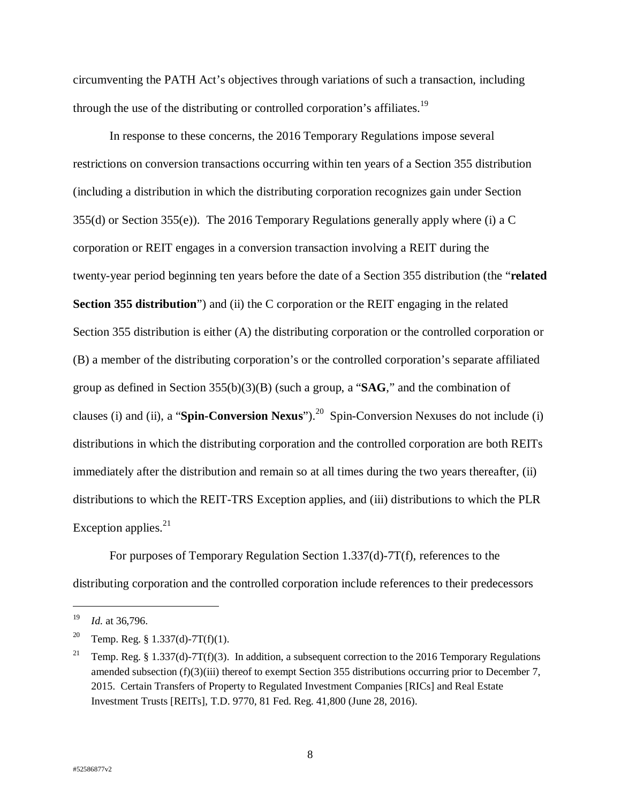circumventing the PATH Act's objectives through variations of such a transaction, including through the use of the distributing or controlled corporation's affiliates.<sup>19</sup>

In response to these concerns, the 2016 Temporary Regulations impose several restrictions on conversion transactions occurring within ten years of a Section 355 distribution (including a distribution in which the distributing corporation recognizes gain under Section 355(d) or Section 355(e)). The 2016 Temporary Regulations generally apply where (i) a C corporation or REIT engages in a conversion transaction involving a REIT during the twenty-year period beginning ten years before the date of a Section 355 distribution (the "**related Section 355 distribution**") and (ii) the C corporation or the REIT engaging in the related Section 355 distribution is either (A) the distributing corporation or the controlled corporation or (B) a member of the distributing corporation's or the controlled corporation's separate affiliated group as defined in Section 355(b)(3)(B) (such a group, a "**SAG**," and the combination of clauses (i) and (ii), a "**Spin-Conversion Nexus**").<sup>20</sup> Spin-Conversion Nexuses do not include (i) distributions in which the distributing corporation and the controlled corporation are both REITs immediately after the distribution and remain so at all times during the two years thereafter, (ii) distributions to which the REIT-TRS Exception applies, and (iii) distributions to which the PLR Exception applies. $21$ 

For purposes of Temporary Regulation Section 1.337(d)-7T(f), references to the distributing corporation and the controlled corporation include references to their predecessors

 $\overline{a}$ 

<sup>19</sup> *Id.* at 36,796.

<sup>&</sup>lt;sup>20</sup> Temp. Reg. § 1.337(d)-7T(f)(1).

<sup>&</sup>lt;sup>21</sup> Temp. Reg. § 1.337(d)-7T(f)(3). In addition, a subsequent correction to the 2016 Temporary Regulations amended subsection (f)(3)(iii) thereof to exempt Section 355 distributions occurring prior to December 7, 2015. Certain Transfers of Property to Regulated Investment Companies [RICs] and Real Estate Investment Trusts [REITs], T.D. 9770, 81 Fed. Reg. 41,800 (June 28, 2016).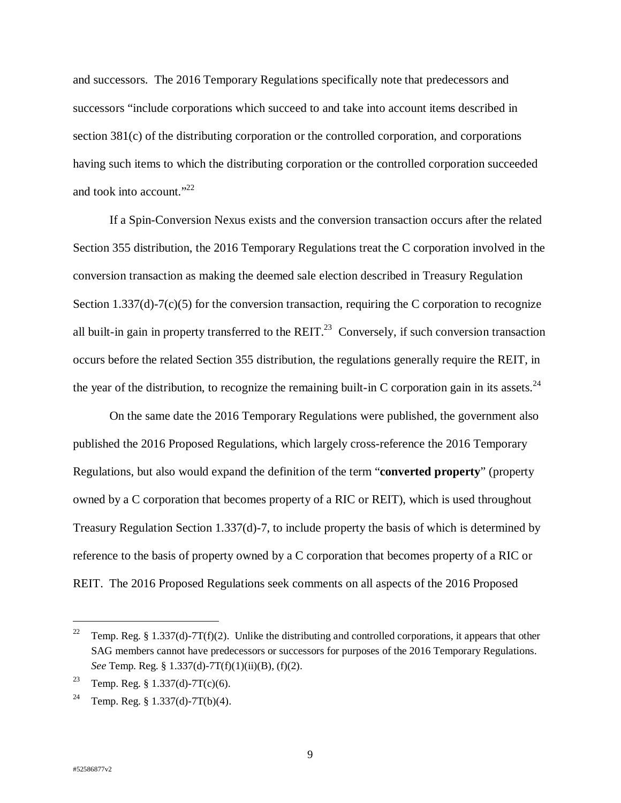and successors. The 2016 Temporary Regulations specifically note that predecessors and successors "include corporations which succeed to and take into account items described in section 381(c) of the distributing corporation or the controlled corporation, and corporations having such items to which the distributing corporation or the controlled corporation succeeded and took into account." $^{22}$ 

If a Spin-Conversion Nexus exists and the conversion transaction occurs after the related Section 355 distribution, the 2016 Temporary Regulations treat the C corporation involved in the conversion transaction as making the deemed sale election described in Treasury Regulation Section 1.337(d)-7(c)(5) for the conversion transaction, requiring the C corporation to recognize all built-in gain in property transferred to the REIT.<sup>23</sup> Conversely, if such conversion transaction occurs before the related Section 355 distribution, the regulations generally require the REIT, in the year of the distribution, to recognize the remaining built-in C corporation gain in its assets.<sup>24</sup>

On the same date the 2016 Temporary Regulations were published, the government also published the 2016 Proposed Regulations, which largely cross-reference the 2016 Temporary Regulations, but also would expand the definition of the term "**converted property**" (property owned by a C corporation that becomes property of a RIC or REIT), which is used throughout Treasury Regulation Section 1.337(d)-7, to include property the basis of which is determined by reference to the basis of property owned by a C corporation that becomes property of a RIC or REIT. The 2016 Proposed Regulations seek comments on all aspects of the 2016 Proposed

<sup>&</sup>lt;sup>22</sup> Temp. Reg. § 1.337(d)-7T(f)(2). Unlike the distributing and controlled corporations, it appears that other SAG members cannot have predecessors or successors for purposes of the 2016 Temporary Regulations. *See* Temp. Reg. § 1.337(d)-7T(f)(1)(ii)(B), (f)(2).

<sup>&</sup>lt;sup>23</sup> Temp. Reg. § 1.337(d)-7T(c)(6).

<sup>&</sup>lt;sup>24</sup> Temp. Reg. § 1.337(d)-7T(b)(4).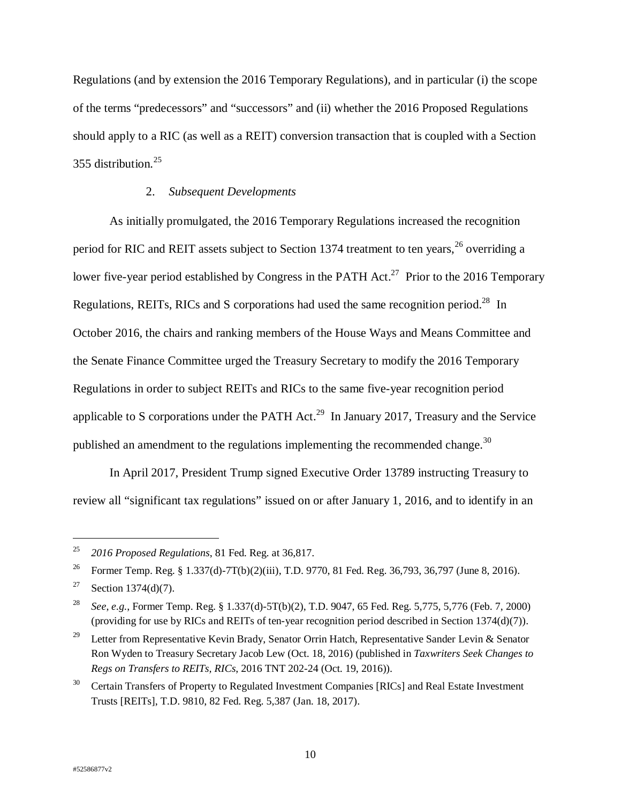Regulations (and by extension the 2016 Temporary Regulations), and in particular (i) the scope of the terms "predecessors" and "successors" and (ii) whether the 2016 Proposed Regulations should apply to a RIC (as well as a REIT) conversion transaction that is coupled with a Section 355 distribution.<sup>25</sup>

## 2. *Subsequent Developments*

As initially promulgated, the 2016 Temporary Regulations increased the recognition period for RIC and REIT assets subject to Section 1374 treatment to ten years,  $^{26}$  overriding a lower five-year period established by Congress in the PATH Act.<sup>27</sup> Prior to the 2016 Temporary Regulations, REITs, RICs and S corporations had used the same recognition period.<sup>28</sup> In October 2016, the chairs and ranking members of the House Ways and Means Committee and the Senate Finance Committee urged the Treasury Secretary to modify the 2016 Temporary Regulations in order to subject REITs and RICs to the same five-year recognition period applicable to S corporations under the PATH Act.<sup>29</sup> In January 2017, Treasury and the Service published an amendment to the regulations implementing the recommended change.<sup>30</sup>

In April 2017, President Trump signed Executive Order 13789 instructing Treasury to review all "significant tax regulations" issued on or after January 1, 2016, and to identify in an

<sup>25</sup> *2016 Proposed Regulations*, 81 Fed. Reg. at 36,817.

<sup>&</sup>lt;sup>26</sup> Former Temp. Reg. § 1.337(d)-7T(b)(2)(iii), T.D. 9770, 81 Fed. Reg. 36,793, 36,797 (June 8, 2016).

<sup>&</sup>lt;sup>27</sup> Section 1374(d)(7).

<sup>28</sup> *See*, *e.g.*, Former Temp. Reg. § 1.337(d)-5T(b)(2), T.D. 9047, 65 Fed. Reg. 5,775, 5,776 (Feb. 7, 2000) (providing for use by RICs and REITs of ten-year recognition period described in Section 1374(d)(7)).

<sup>&</sup>lt;sup>29</sup> Letter from Representative Kevin Brady, Senator Orrin Hatch, Representative Sander Levin & Senator Ron Wyden to Treasury Secretary Jacob Lew (Oct. 18, 2016) (published in *Taxwriters Seek Changes to Regs on Transfers to REITs, RICs*, 2016 TNT 202-24 (Oct. 19, 2016)).

<sup>30</sup> Certain Transfers of Property to Regulated Investment Companies [RICs] and Real Estate Investment Trusts [REITs], T.D. 9810, 82 Fed. Reg. 5,387 (Jan. 18, 2017).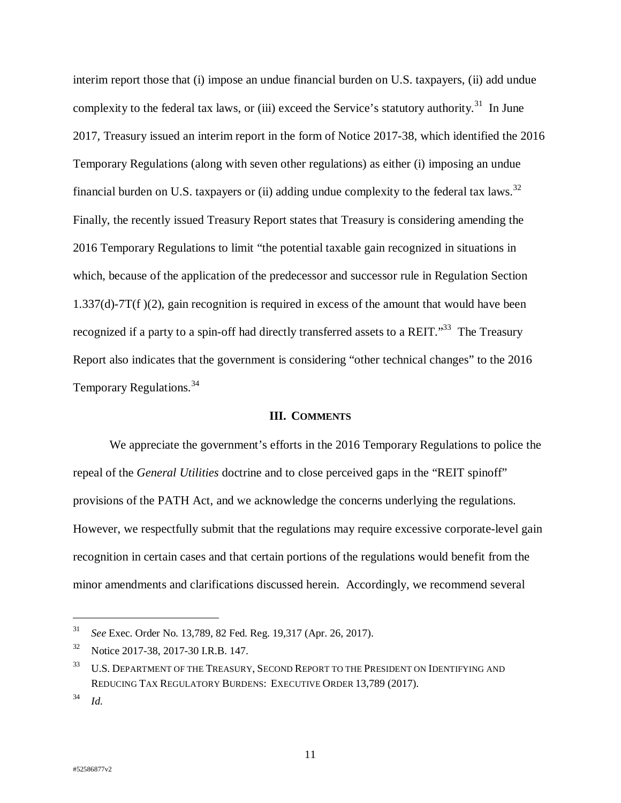interim report those that (i) impose an undue financial burden on U.S. taxpayers, (ii) add undue complexity to the federal tax laws, or (iii) exceed the Service's statutory authority.<sup>31</sup> In June 2017, Treasury issued an interim report in the form of Notice 2017-38, which identified the 2016 Temporary Regulations (along with seven other regulations) as either (i) imposing an undue financial burden on U.S. taxpayers or (ii) adding undue complexity to the federal tax laws.<sup>32</sup> Finally, the recently issued Treasury Report states that Treasury is considering amending the 2016 Temporary Regulations to limit "the potential taxable gain recognized in situations in which, because of the application of the predecessor and successor rule in Regulation Section  $1.337(d)$ -7T(f)(2), gain recognition is required in excess of the amount that would have been recognized if a party to a spin-off had directly transferred assets to a REIT."<sup>33</sup> The Treasury Report also indicates that the government is considering "other technical changes" to the 2016 Temporary Regulations.<sup>34</sup>

#### **III. COMMENTS**

We appreciate the government's efforts in the 2016 Temporary Regulations to police the repeal of the *General Utilities* doctrine and to close perceived gaps in the "REIT spinoff" provisions of the PATH Act, and we acknowledge the concerns underlying the regulations. However, we respectfully submit that the regulations may require excessive corporate-level gain recognition in certain cases and that certain portions of the regulations would benefit from the minor amendments and clarifications discussed herein. Accordingly, we recommend several

<sup>31</sup> *See* Exec. Order No. 13,789, 82 Fed. Reg. 19,317 (Apr. 26, 2017).

<sup>32</sup> Notice 2017-38, 2017-30 I.R.B. 147.

<sup>&</sup>lt;sup>33</sup> U.S. DEPARTMENT OF THE TREASURY, SECOND REPORT TO THE PRESIDENT ON IDENTIFYING AND REDUCING TAX REGULATORY BURDENS: EXECUTIVE ORDER 13,789 (2017).

<sup>34</sup> *Id.*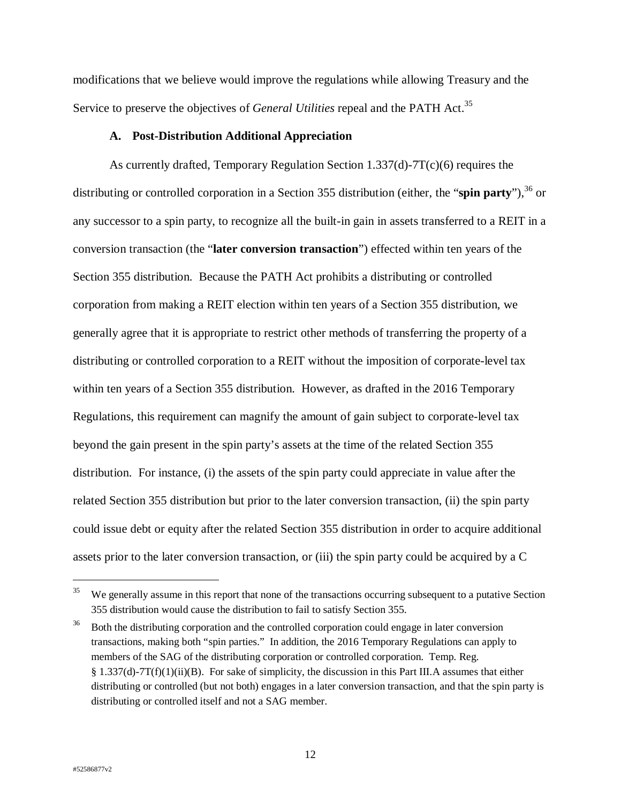modifications that we believe would improve the regulations while allowing Treasury and the Service to preserve the objectives of *General Utilities* repeal and the PATH Act.<sup>35</sup>

### **A. Post-Distribution Additional Appreciation**

As currently drafted, Temporary Regulation Section 1.337(d)-7T(c)(6) requires the distributing or controlled corporation in a Section 355 distribution (either, the "spin party").<sup>36</sup> or any successor to a spin party, to recognize all the built-in gain in assets transferred to a REIT in a conversion transaction (the "**later conversion transaction**") effected within ten years of the Section 355 distribution. Because the PATH Act prohibits a distributing or controlled corporation from making a REIT election within ten years of a Section 355 distribution, we generally agree that it is appropriate to restrict other methods of transferring the property of a distributing or controlled corporation to a REIT without the imposition of corporate-level tax within ten years of a Section 355 distribution. However, as drafted in the 2016 Temporary Regulations, this requirement can magnify the amount of gain subject to corporate-level tax beyond the gain present in the spin party's assets at the time of the related Section 355 distribution. For instance, (i) the assets of the spin party could appreciate in value after the related Section 355 distribution but prior to the later conversion transaction, (ii) the spin party could issue debt or equity after the related Section 355 distribution in order to acquire additional assets prior to the later conversion transaction, or (iii) the spin party could be acquired by a C

<sup>&</sup>lt;sup>35</sup> We generally assume in this report that none of the transactions occurring subsequent to a putative Section 355 distribution would cause the distribution to fail to satisfy Section 355.

 $36$  Both the distributing corporation and the controlled corporation could engage in later conversion transactions, making both "spin parties." In addition, the 2016 Temporary Regulations can apply to members of the SAG of the distributing corporation or controlled corporation. Temp. Reg. § 1.337(d)-7T(f)(1)(ii)(B). For sake of simplicity, the discussion in this Part III.A assumes that either distributing or controlled (but not both) engages in a later conversion transaction, and that the spin party is distributing or controlled itself and not a SAG member.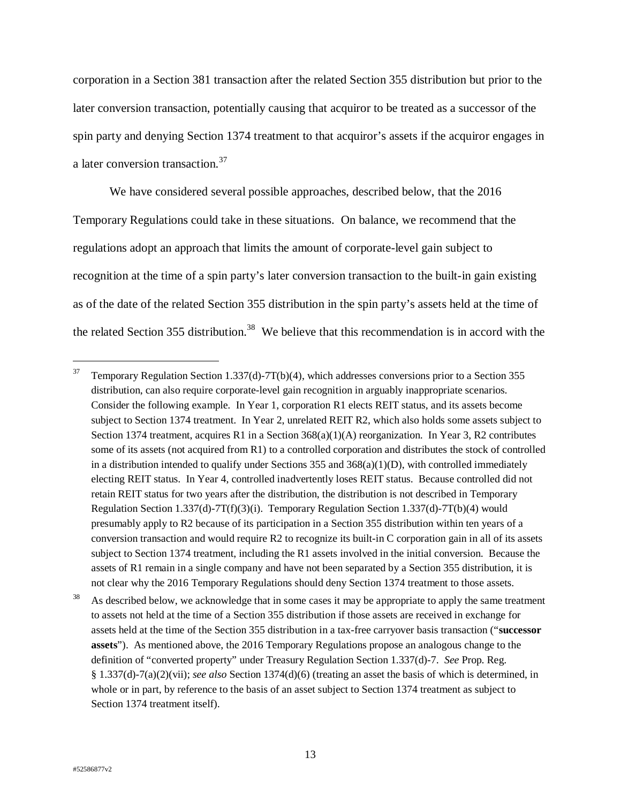corporation in a Section 381 transaction after the related Section 355 distribution but prior to the later conversion transaction, potentially causing that acquiror to be treated as a successor of the spin party and denying Section 1374 treatment to that acquiror's assets if the acquiror engages in a later conversion transaction.<sup>37</sup>

We have considered several possible approaches, described below, that the 2016 Temporary Regulations could take in these situations. On balance, we recommend that the regulations adopt an approach that limits the amount of corporate-level gain subject to recognition at the time of a spin party's later conversion transaction to the built-in gain existing as of the date of the related Section 355 distribution in the spin party's assets held at the time of the related Section 355 distribution.<sup>38</sup> We believe that this recommendation is in accord with the

As described below, we acknowledge that in some cases it may be appropriate to apply the same treatment to assets not held at the time of a Section 355 distribution if those assets are received in exchange for assets held at the time of the Section 355 distribution in a tax-free carryover basis transaction ("**successor assets**"). As mentioned above, the 2016 Temporary Regulations propose an analogous change to the definition of "converted property" under Treasury Regulation Section 1.337(d)-7. *See* Prop. Reg. § 1.337(d)-7(a)(2)(vii); *see also* Section 1374(d)(6) (treating an asset the basis of which is determined, in whole or in part, by reference to the basis of an asset subject to Section 1374 treatment as subject to Section 1374 treatment itself).

<sup>&</sup>lt;sup>37</sup> Temporary Regulation Section 1.337(d)-7T(b)(4), which addresses conversions prior to a Section 355 distribution, can also require corporate-level gain recognition in arguably inappropriate scenarios. Consider the following example. In Year 1, corporation R1 elects REIT status, and its assets become subject to Section 1374 treatment. In Year 2, unrelated REIT R2, which also holds some assets subject to Section 1374 treatment, acquires R1 in a Section 368(a)(1)(A) reorganization. In Year 3, R2 contributes some of its assets (not acquired from R1) to a controlled corporation and distributes the stock of controlled in a distribution intended to qualify under Sections 355 and  $368(a)(1)(D)$ , with controlled immediately electing REIT status. In Year 4, controlled inadvertently loses REIT status. Because controlled did not retain REIT status for two years after the distribution, the distribution is not described in Temporary Regulation Section 1.337(d)-7T(f)(3)(i). Temporary Regulation Section 1.337(d)-7T(b)(4) would presumably apply to R2 because of its participation in a Section 355 distribution within ten years of a conversion transaction and would require R2 to recognize its built-in C corporation gain in all of its assets subject to Section 1374 treatment, including the R1 assets involved in the initial conversion. Because the assets of R1 remain in a single company and have not been separated by a Section 355 distribution, it is not clear why the 2016 Temporary Regulations should deny Section 1374 treatment to those assets.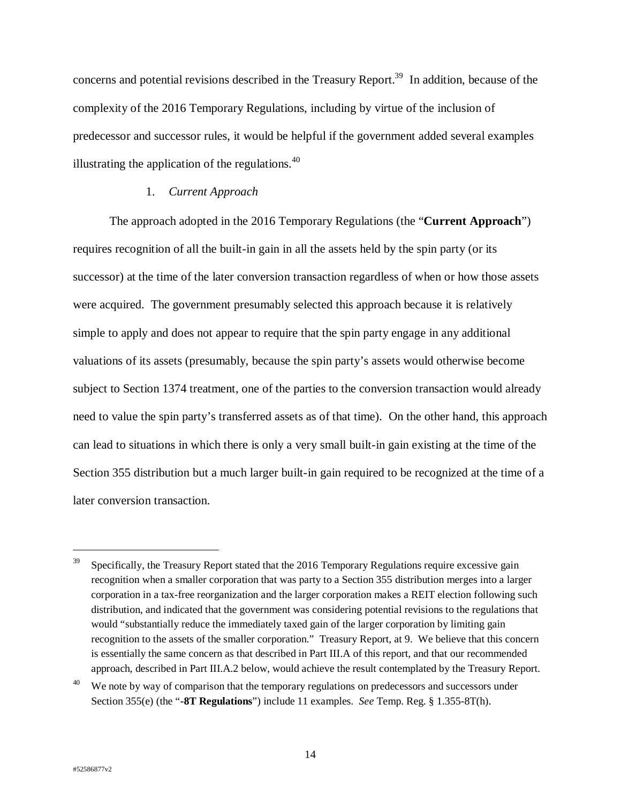concerns and potential revisions described in the Treasury Report.<sup>39</sup> In addition, because of the complexity of the 2016 Temporary Regulations, including by virtue of the inclusion of predecessor and successor rules, it would be helpful if the government added several examples illustrating the application of the regulations.  $40$ 

## 1. *Current Approach*

The approach adopted in the 2016 Temporary Regulations (the "**Current Approach**") requires recognition of all the built-in gain in all the assets held by the spin party (or its successor) at the time of the later conversion transaction regardless of when or how those assets were acquired. The government presumably selected this approach because it is relatively simple to apply and does not appear to require that the spin party engage in any additional valuations of its assets (presumably, because the spin party's assets would otherwise become subject to Section 1374 treatment, one of the parties to the conversion transaction would already need to value the spin party's transferred assets as of that time). On the other hand, this approach can lead to situations in which there is only a very small built-in gain existing at the time of the Section 355 distribution but a much larger built-in gain required to be recognized at the time of a later conversion transaction.

 $39$  Specifically, the Treasury Report stated that the 2016 Temporary Regulations require excessive gain recognition when a smaller corporation that was party to a Section 355 distribution merges into a larger corporation in a tax-free reorganization and the larger corporation makes a REIT election following such distribution, and indicated that the government was considering potential revisions to the regulations that would "substantially reduce the immediately taxed gain of the larger corporation by limiting gain recognition to the assets of the smaller corporation." Treasury Report, at 9. We believe that this concern is essentially the same concern as that described in Part III.A of this report, and that our recommended approach, described in Part III.A.2 below, would achieve the result contemplated by the Treasury Report.

<sup>&</sup>lt;sup>40</sup> We note by way of comparison that the temporary regulations on predecessors and successors under Section 355(e) (the "**-8T Regulations**") include 11 examples. *See* Temp. Reg. § 1.355-8T(h).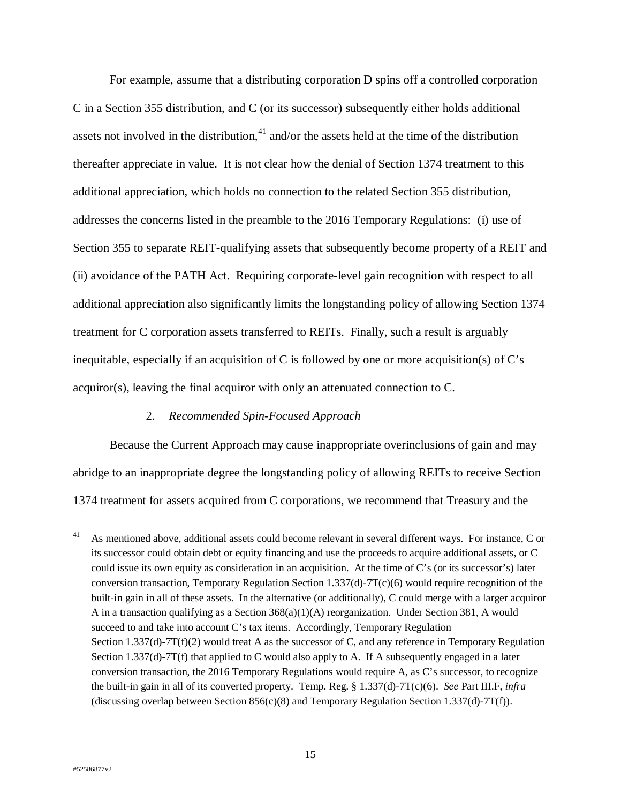For example, assume that a distributing corporation D spins off a controlled corporation C in a Section 355 distribution, and C (or its successor) subsequently either holds additional assets not involved in the distribution, $41$  and/or the assets held at the time of the distribution thereafter appreciate in value. It is not clear how the denial of Section 1374 treatment to this additional appreciation, which holds no connection to the related Section 355 distribution, addresses the concerns listed in the preamble to the 2016 Temporary Regulations: (i) use of Section 355 to separate REIT-qualifying assets that subsequently become property of a REIT and (ii) avoidance of the PATH Act. Requiring corporate-level gain recognition with respect to all additional appreciation also significantly limits the longstanding policy of allowing Section 1374 treatment for C corporation assets transferred to REITs. Finally, such a result is arguably inequitable, especially if an acquisition of C is followed by one or more acquisition(s) of C's  $acquire(s)$ , leaving the final acquiror with only an attenuated connection to C.

### 2. *Recommended Spin-Focused Approach*

Because the Current Approach may cause inappropriate overinclusions of gain and may abridge to an inappropriate degree the longstanding policy of allowing REITs to receive Section 1374 treatment for assets acquired from C corporations, we recommend that Treasury and the

 $\overline{a}$ 

<sup>&</sup>lt;sup>41</sup> As mentioned above, additional assets could become relevant in several different ways. For instance, C or its successor could obtain debt or equity financing and use the proceeds to acquire additional assets, or C could issue its own equity as consideration in an acquisition. At the time of C's (or its successor's) later conversion transaction, Temporary Regulation Section 1.337(d)-7T(c)(6) would require recognition of the built-in gain in all of these assets. In the alternative (or additionally), C could merge with a larger acquiror A in a transaction qualifying as a Section 368(a)(1)(A) reorganization. Under Section 381, A would succeed to and take into account C's tax items. Accordingly, Temporary Regulation Section 1.337(d)-7T(f)(2) would treat A as the successor of C, and any reference in Temporary Regulation Section 1.337(d)-7T(f) that applied to C would also apply to A. If A subsequently engaged in a later conversion transaction, the 2016 Temporary Regulations would require A, as C's successor, to recognize the built-in gain in all of its converted property. Temp. Reg. § 1.337(d)-7T(c)(6). *See* Part III.F, *infra* (discussing overlap between Section  $856(c)(8)$  and Temporary Regulation Section 1.337(d)-7T(f)).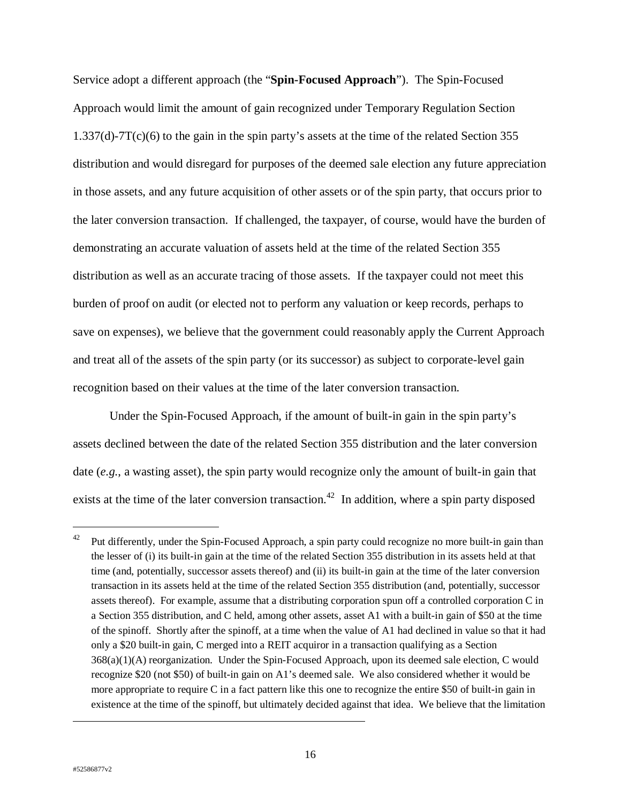Service adopt a different approach (the "**Spin-Focused Approach**"). The Spin-Focused Approach would limit the amount of gain recognized under Temporary Regulation Section 1.337(d)-7T(c)(6) to the gain in the spin party's assets at the time of the related Section 355 distribution and would disregard for purposes of the deemed sale election any future appreciation in those assets, and any future acquisition of other assets or of the spin party, that occurs prior to the later conversion transaction. If challenged, the taxpayer, of course, would have the burden of demonstrating an accurate valuation of assets held at the time of the related Section 355 distribution as well as an accurate tracing of those assets. If the taxpayer could not meet this burden of proof on audit (or elected not to perform any valuation or keep records, perhaps to save on expenses), we believe that the government could reasonably apply the Current Approach and treat all of the assets of the spin party (or its successor) as subject to corporate-level gain recognition based on their values at the time of the later conversion transaction.

Under the Spin-Focused Approach, if the amount of built-in gain in the spin party's assets declined between the date of the related Section 355 distribution and the later conversion date (*e.g.*, a wasting asset), the spin party would recognize only the amount of built-in gain that exists at the time of the later conversion transaction.<sup>42</sup> In addition, where a spin party disposed

 $\overline{a}$ 

<sup>&</sup>lt;sup>42</sup> Put differently, under the Spin-Focused Approach, a spin party could recognize no more built-in gain than the lesser of (i) its built-in gain at the time of the related Section 355 distribution in its assets held at that time (and, potentially, successor assets thereof) and (ii) its built-in gain at the time of the later conversion transaction in its assets held at the time of the related Section 355 distribution (and, potentially, successor assets thereof). For example, assume that a distributing corporation spun off a controlled corporation C in a Section 355 distribution, and C held, among other assets, asset A1 with a built-in gain of \$50 at the time of the spinoff. Shortly after the spinoff, at a time when the value of A1 had declined in value so that it had only a \$20 built-in gain, C merged into a REIT acquiror in a transaction qualifying as a Section 368(a)(1)(A) reorganization. Under the Spin-Focused Approach, upon its deemed sale election, C would recognize \$20 (not \$50) of built-in gain on A1's deemed sale. We also considered whether it would be more appropriate to require C in a fact pattern like this one to recognize the entire \$50 of built-in gain in existence at the time of the spinoff, but ultimately decided against that idea. We believe that the limitation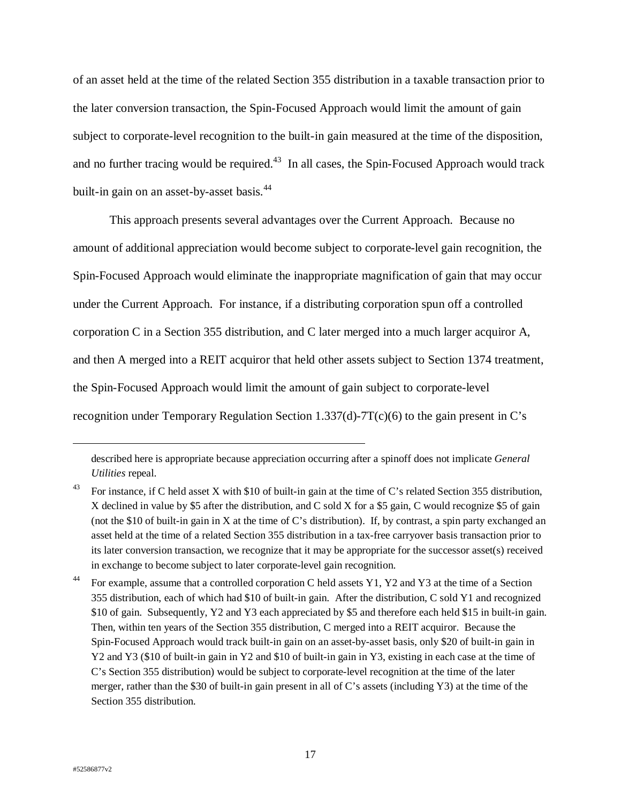of an asset held at the time of the related Section 355 distribution in a taxable transaction prior to the later conversion transaction, the Spin-Focused Approach would limit the amount of gain subject to corporate-level recognition to the built-in gain measured at the time of the disposition, and no further tracing would be required.<sup>43</sup> In all cases, the Spin-Focused Approach would track built-in gain on an asset-by-asset basis.<sup>44</sup>

This approach presents several advantages over the Current Approach. Because no amount of additional appreciation would become subject to corporate-level gain recognition, the Spin-Focused Approach would eliminate the inappropriate magnification of gain that may occur under the Current Approach. For instance, if a distributing corporation spun off a controlled corporation C in a Section 355 distribution, and C later merged into a much larger acquiror A, and then A merged into a REIT acquiror that held other assets subject to Section 1374 treatment, the Spin-Focused Approach would limit the amount of gain subject to corporate-level recognition under Temporary Regulation Section 1.337(d)-7T(c)(6) to the gain present in C's

described here is appropriate because appreciation occurring after a spinoff does not implicate *General Utilities* repeal.

<sup>&</sup>lt;sup>43</sup> For instance, if C held asset X with \$10 of built-in gain at the time of C's related Section 355 distribution, X declined in value by \$5 after the distribution, and C sold X for a \$5 gain, C would recognize \$5 of gain (not the \$10 of built-in gain in X at the time of C's distribution). If, by contrast, a spin party exchanged an asset held at the time of a related Section 355 distribution in a tax-free carryover basis transaction prior to its later conversion transaction, we recognize that it may be appropriate for the successor asset(s) received in exchange to become subject to later corporate-level gain recognition.

<sup>&</sup>lt;sup>44</sup> For example, assume that a controlled corporation C held assets Y1, Y2 and Y3 at the time of a Section 355 distribution, each of which had \$10 of built-in gain. After the distribution, C sold Y1 and recognized \$10 of gain. Subsequently, Y2 and Y3 each appreciated by \$5 and therefore each held \$15 in built-in gain. Then, within ten years of the Section 355 distribution, C merged into a REIT acquiror. Because the Spin-Focused Approach would track built-in gain on an asset-by-asset basis, only \$20 of built-in gain in Y2 and Y3 (\$10 of built-in gain in Y2 and \$10 of built-in gain in Y3, existing in each case at the time of C's Section 355 distribution) would be subject to corporate-level recognition at the time of the later merger, rather than the \$30 of built-in gain present in all of C's assets (including Y3) at the time of the Section 355 distribution.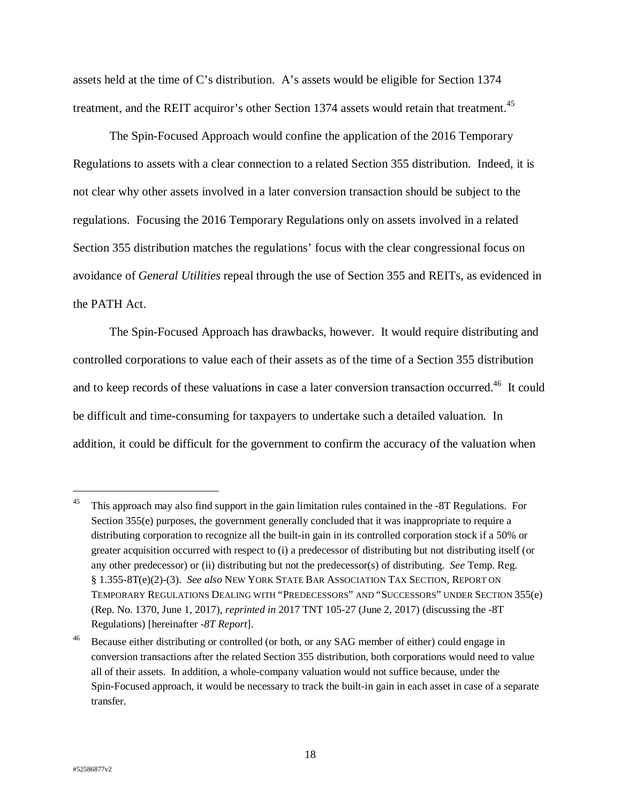assets held at the time of C's distribution. A's assets would be eligible for Section 1374 treatment, and the REIT acquiror's other Section 1374 assets would retain that treatment.<sup>45</sup>

The Spin-Focused Approach would confine the application of the 2016 Temporary Regulations to assets with a clear connection to a related Section 355 distribution. Indeed, it is not clear why other assets involved in a later conversion transaction should be subject to the regulations. Focusing the 2016 Temporary Regulations only on assets involved in a related Section 355 distribution matches the regulations' focus with the clear congressional focus on avoidance of *General Utilities* repeal through the use of Section 355 and REITs, as evidenced in the PATH Act.

The Spin-Focused Approach has drawbacks, however. It would require distributing and controlled corporations to value each of their assets as of the time of a Section 355 distribution and to keep records of these valuations in case a later conversion transaction occurred.<sup>46</sup> It could be difficult and time-consuming for taxpayers to undertake such a detailed valuation. In addition, it could be difficult for the government to confirm the accuracy of the valuation when

<sup>&</sup>lt;sup>45</sup> This approach may also find support in the gain limitation rules contained in the -8T Regulations. For Section 355(e) purposes, the government generally concluded that it was inappropriate to require a distributing corporation to recognize all the built-in gain in its controlled corporation stock if a 50% or greater acquisition occurred with respect to (i) a predecessor of distributing but not distributing itself (or any other predecessor) or (ii) distributing but not the predecessor(s) of distributing. *See* Temp. Reg. § 1.355-8T(e)(2)-(3). *See also* NEW YORK STATE BAR ASSOCIATION TAX SECTION, REPORT ON TEMPORARY REGULATIONS DEALING WITH "PREDECESSORS" AND "SUCCESSORS" UNDER SECTION 355(e) (Rep. No. 1370, June 1, 2017), *reprinted in* 2017 TNT 105-27 (June 2, 2017) (discussing the -8T Regulations) [hereinafter *-8T Report*].

<sup>&</sup>lt;sup>46</sup> Because either distributing or controlled (or both, or any SAG member of either) could engage in conversion transactions after the related Section 355 distribution, both corporations would need to value all of their assets. In addition, a whole-company valuation would not suffice because, under the Spin-Focused approach, it would be necessary to track the built-in gain in each asset in case of a separate transfer.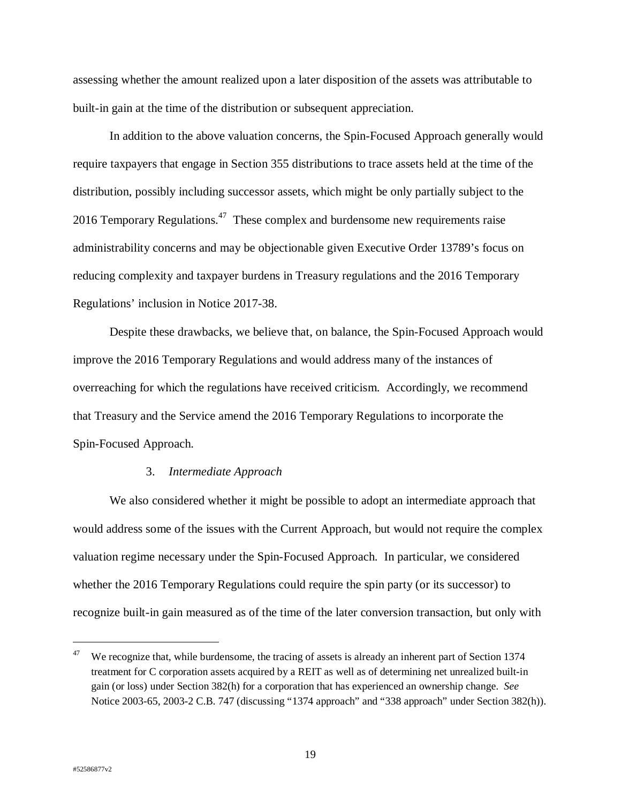assessing whether the amount realized upon a later disposition of the assets was attributable to built-in gain at the time of the distribution or subsequent appreciation.

In addition to the above valuation concerns, the Spin-Focused Approach generally would require taxpayers that engage in Section 355 distributions to trace assets held at the time of the distribution, possibly including successor assets, which might be only partially subject to the 2016 Temporary Regulations.<sup>47</sup> These complex and burdensome new requirements raise administrability concerns and may be objectionable given Executive Order 13789's focus on reducing complexity and taxpayer burdens in Treasury regulations and the 2016 Temporary Regulations' inclusion in Notice 2017-38.

Despite these drawbacks, we believe that, on balance, the Spin-Focused Approach would improve the 2016 Temporary Regulations and would address many of the instances of overreaching for which the regulations have received criticism. Accordingly, we recommend that Treasury and the Service amend the 2016 Temporary Regulations to incorporate the Spin-Focused Approach.

#### 3. *Intermediate Approach*

We also considered whether it might be possible to adopt an intermediate approach that would address some of the issues with the Current Approach, but would not require the complex valuation regime necessary under the Spin-Focused Approach. In particular, we considered whether the 2016 Temporary Regulations could require the spin party (or its successor) to recognize built-in gain measured as of the time of the later conversion transaction, but only with

 $\overline{a}$ 

<sup>&</sup>lt;sup>47</sup> We recognize that, while burdensome, the tracing of assets is already an inherent part of Section 1374 treatment for C corporation assets acquired by a REIT as well as of determining net unrealized built-in gain (or loss) under Section 382(h) for a corporation that has experienced an ownership change. *See* Notice 2003-65, 2003-2 C.B. 747 (discussing "1374 approach" and "338 approach" under Section 382(h)).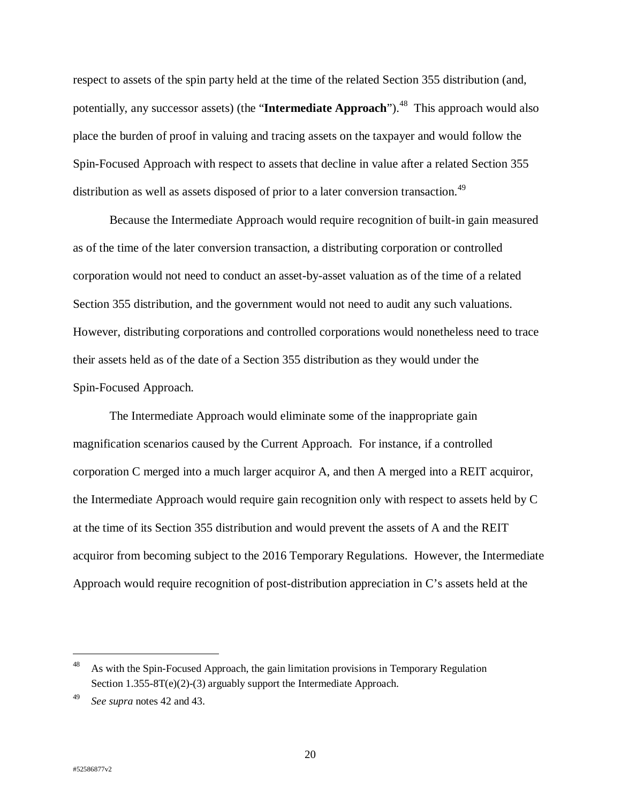respect to assets of the spin party held at the time of the related Section 355 distribution (and, potentially, any successor assets) (the "**Intermediate Approach**").<sup>48</sup> This approach would also place the burden of proof in valuing and tracing assets on the taxpayer and would follow the Spin-Focused Approach with respect to assets that decline in value after a related Section 355 distribution as well as assets disposed of prior to a later conversion transaction.<sup>49</sup>

Because the Intermediate Approach would require recognition of built-in gain measured as of the time of the later conversion transaction, a distributing corporation or controlled corporation would not need to conduct an asset-by-asset valuation as of the time of a related Section 355 distribution, and the government would not need to audit any such valuations. However, distributing corporations and controlled corporations would nonetheless need to trace their assets held as of the date of a Section 355 distribution as they would under the Spin-Focused Approach.

The Intermediate Approach would eliminate some of the inappropriate gain magnification scenarios caused by the Current Approach. For instance, if a controlled corporation C merged into a much larger acquiror A, and then A merged into a REIT acquiror, the Intermediate Approach would require gain recognition only with respect to assets held by C at the time of its Section 355 distribution and would prevent the assets of A and the REIT acquiror from becoming subject to the 2016 Temporary Regulations. However, the Intermediate Approach would require recognition of post-distribution appreciation in C's assets held at the

<sup>48</sup> As with the Spin-Focused Approach, the gain limitation provisions in Temporary Regulation Section 1.355-8T(e)(2)-(3) arguably support the Intermediate Approach.

<sup>49</sup> *See supra* notes 42 and 43.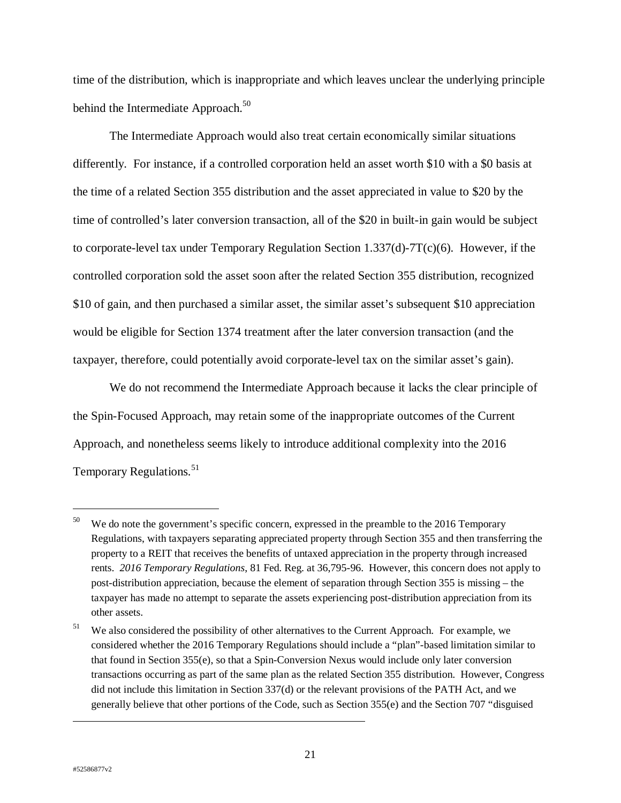time of the distribution, which is inappropriate and which leaves unclear the underlying principle behind the Intermediate Approach.<sup>50</sup>

The Intermediate Approach would also treat certain economically similar situations differently. For instance, if a controlled corporation held an asset worth \$10 with a \$0 basis at the time of a related Section 355 distribution and the asset appreciated in value to \$20 by the time of controlled's later conversion transaction, all of the \$20 in built-in gain would be subject to corporate-level tax under Temporary Regulation Section 1.337(d)-7T(c)(6). However, if the controlled corporation sold the asset soon after the related Section 355 distribution, recognized \$10 of gain, and then purchased a similar asset, the similar asset's subsequent \$10 appreciation would be eligible for Section 1374 treatment after the later conversion transaction (and the taxpayer, therefore, could potentially avoid corporate-level tax on the similar asset's gain).

We do not recommend the Intermediate Approach because it lacks the clear principle of the Spin-Focused Approach, may retain some of the inappropriate outcomes of the Current Approach, and nonetheless seems likely to introduce additional complexity into the 2016 Temporary Regulations.<sup>51</sup>

 $\overline{a}$ 

 $\overline{a}$ 

 $50$  We do note the government's specific concern, expressed in the preamble to the 2016 Temporary Regulations, with taxpayers separating appreciated property through Section 355 and then transferring the property to a REIT that receives the benefits of untaxed appreciation in the property through increased rents. *2016 Temporary Regulations*, 81 Fed. Reg. at 36,795-96. However, this concern does not apply to post-distribution appreciation, because the element of separation through Section 355 is missing – the taxpayer has made no attempt to separate the assets experiencing post-distribution appreciation from its other assets.

<sup>&</sup>lt;sup>51</sup> We also considered the possibility of other alternatives to the Current Approach. For example, we considered whether the 2016 Temporary Regulations should include a "plan"-based limitation similar to that found in Section 355(e), so that a Spin-Conversion Nexus would include only later conversion transactions occurring as part of the same plan as the related Section 355 distribution. However, Congress did not include this limitation in Section 337(d) or the relevant provisions of the PATH Act, and we generally believe that other portions of the Code, such as Section 355(e) and the Section 707 "disguised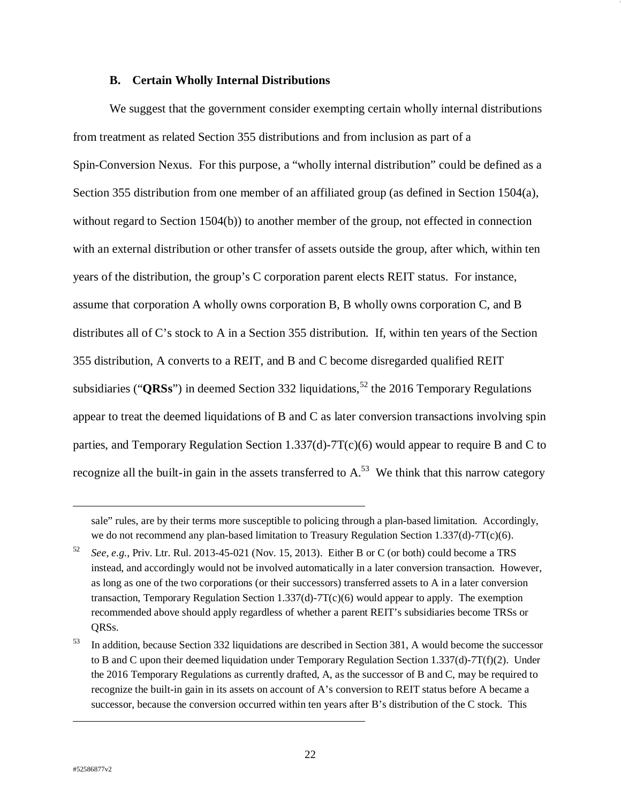#### **B. Certain Wholly Internal Distributions**

We suggest that the government consider exempting certain wholly internal distributions from treatment as related Section 355 distributions and from inclusion as part of a Spin-Conversion Nexus. For this purpose, a "wholly internal distribution" could be defined as a Section 355 distribution from one member of an affiliated group (as defined in Section 1504(a), without regard to Section 1504(b)) to another member of the group, not effected in connection with an external distribution or other transfer of assets outside the group, after which, within ten years of the distribution, the group's C corporation parent elects REIT status. For instance, assume that corporation A wholly owns corporation B, B wholly owns corporation C, and B distributes all of C's stock to A in a Section 355 distribution. If, within ten years of the Section 355 distribution, A converts to a REIT, and B and C become disregarded qualified REIT subsidiaries (" $QRSS$ ") in deemed Section 332 liquidations,<sup>52</sup> the 2016 Temporary Regulations appear to treat the deemed liquidations of B and C as later conversion transactions involving spin parties, and Temporary Regulation Section 1.337(d)-7T(c)(6) would appear to require B and C to recognize all the built-in gain in the assets transferred to  $A<sup>53</sup>$ . We think that this narrow category

 $\overline{a}$ 

 $\overline{a}$ 

sale" rules, are by their terms more susceptible to policing through a plan-based limitation. Accordingly, we do not recommend any plan-based limitation to Treasury Regulation Section 1.337(d)-7T(c)(6).

<sup>52</sup> *See*, *e.g.*, Priv. Ltr. Rul. 2013-45-021 (Nov. 15, 2013). Either B or C (or both) could become a TRS instead, and accordingly would not be involved automatically in a later conversion transaction. However, as long as one of the two corporations (or their successors) transferred assets to A in a later conversion transaction, Temporary Regulation Section 1.337(d)-7T(c)(6) would appear to apply. The exemption recommended above should apply regardless of whether a parent REIT's subsidiaries become TRSs or ORS<sub>s.</sub>

<sup>53</sup> In addition, because Section 332 liquidations are described in Section 381, A would become the successor to B and C upon their deemed liquidation under Temporary Regulation Section 1.337(d)-7T(f)(2). Under the 2016 Temporary Regulations as currently drafted, A, as the successor of B and C, may be required to recognize the built-in gain in its assets on account of A's conversion to REIT status before A became a successor, because the conversion occurred within ten years after B's distribution of the C stock. This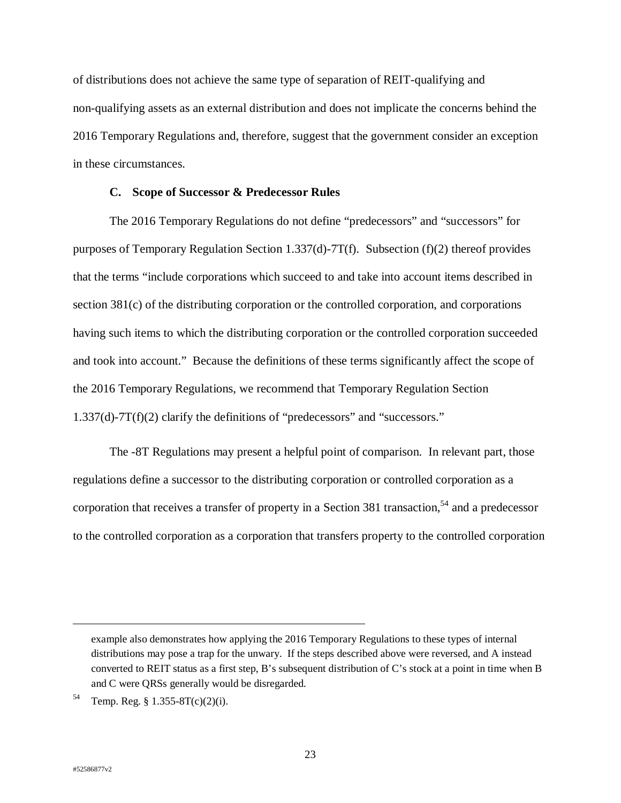of distributions does not achieve the same type of separation of REIT-qualifying and non-qualifying assets as an external distribution and does not implicate the concerns behind the 2016 Temporary Regulations and, therefore, suggest that the government consider an exception in these circumstances.

## **C. Scope of Successor & Predecessor Rules**

The 2016 Temporary Regulations do not define "predecessors" and "successors" for purposes of Temporary Regulation Section 1.337(d)-7T(f). Subsection (f)(2) thereof provides that the terms "include corporations which succeed to and take into account items described in section 381(c) of the distributing corporation or the controlled corporation, and corporations having such items to which the distributing corporation or the controlled corporation succeeded and took into account." Because the definitions of these terms significantly affect the scope of the 2016 Temporary Regulations, we recommend that Temporary Regulation Section 1.337(d)-7T(f)(2) clarify the definitions of "predecessors" and "successors."

The -8T Regulations may present a helpful point of comparison. In relevant part, those regulations define a successor to the distributing corporation or controlled corporation as a corporation that receives a transfer of property in a Section 381 transaction,<sup>54</sup> and a predecessor to the controlled corporation as a corporation that transfers property to the controlled corporation

example also demonstrates how applying the 2016 Temporary Regulations to these types of internal distributions may pose a trap for the unwary. If the steps described above were reversed, and A instead converted to REIT status as a first step, B's subsequent distribution of C's stock at a point in time when B and C were QRSs generally would be disregarded.

<sup>54</sup> Temp. Reg. § 1.355-8T(c)(2)(i).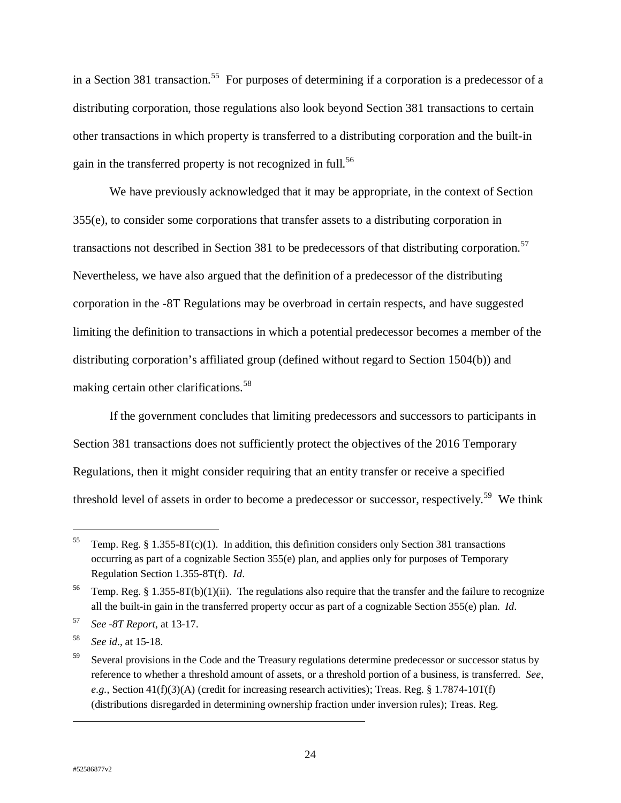in a Section 381 transaction.<sup>55</sup> For purposes of determining if a corporation is a predecessor of a distributing corporation, those regulations also look beyond Section 381 transactions to certain other transactions in which property is transferred to a distributing corporation and the built-in gain in the transferred property is not recognized in full.<sup>56</sup>

We have previously acknowledged that it may be appropriate, in the context of Section 355(e), to consider some corporations that transfer assets to a distributing corporation in transactions not described in Section 381 to be predecessors of that distributing corporation.<sup>57</sup> Nevertheless, we have also argued that the definition of a predecessor of the distributing corporation in the -8T Regulations may be overbroad in certain respects, and have suggested limiting the definition to transactions in which a potential predecessor becomes a member of the distributing corporation's affiliated group (defined without regard to Section 1504(b)) and making certain other clarifications.<sup>58</sup>

If the government concludes that limiting predecessors and successors to participants in Section 381 transactions does not sufficiently protect the objectives of the 2016 Temporary Regulations, then it might consider requiring that an entity transfer or receive a specified threshold level of assets in order to become a predecessor or successor, respectively.<sup>59</sup> We think

 $\ddot{ }$ 

<sup>&</sup>lt;sup>55</sup> Temp. Reg. § 1.355-8T(c)(1). In addition, this definition considers only Section 381 transactions occurring as part of a cognizable Section 355(e) plan, and applies only for purposes of Temporary Regulation Section 1.355-8T(f). *Id*.

<sup>&</sup>lt;sup>56</sup> Temp. Reg. § 1.355-8T(b)(1)(ii). The regulations also require that the transfer and the failure to recognize all the built-in gain in the transferred property occur as part of a cognizable Section 355(e) plan. *Id*.

<sup>57</sup> *See -8T Report*, at 13-17.

<sup>58</sup> *See id*., at 15-18.

<sup>&</sup>lt;sup>59</sup> Several provisions in the Code and the Treasury regulations determine predecessor or successor status by reference to whether a threshold amount of assets, or a threshold portion of a business, is transferred. *See*,  $e.g.,$  Section  $41(f)(3)(A)$  (credit for increasing research activities); Treas. Reg. § 1.7874-10T(f) (distributions disregarded in determining ownership fraction under inversion rules); Treas. Reg.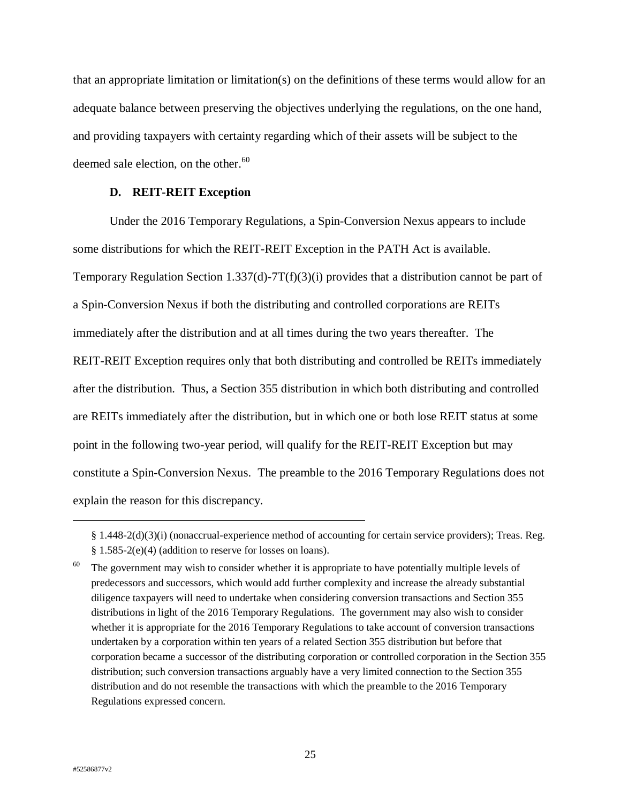that an appropriate limitation or limitation(s) on the definitions of these terms would allow for an adequate balance between preserving the objectives underlying the regulations, on the one hand, and providing taxpayers with certainty regarding which of their assets will be subject to the deemed sale election, on the other. $60$ 

## **D. REIT-REIT Exception**

Under the 2016 Temporary Regulations, a Spin-Conversion Nexus appears to include some distributions for which the REIT-REIT Exception in the PATH Act is available. Temporary Regulation Section 1.337(d)-7T(f)(3)(i) provides that a distribution cannot be part of a Spin-Conversion Nexus if both the distributing and controlled corporations are REITs immediately after the distribution and at all times during the two years thereafter. The REIT-REIT Exception requires only that both distributing and controlled be REITs immediately after the distribution. Thus, a Section 355 distribution in which both distributing and controlled are REITs immediately after the distribution, but in which one or both lose REIT status at some point in the following two-year period, will qualify for the REIT-REIT Exception but may constitute a Spin-Conversion Nexus. The preamble to the 2016 Temporary Regulations does not explain the reason for this discrepancy.

<sup>§ 1.448-2(</sup>d)(3)(i) (nonaccrual-experience method of accounting for certain service providers); Treas. Reg. § 1.585-2(e)(4) (addition to reserve for losses on loans).

 $60$  The government may wish to consider whether it is appropriate to have potentially multiple levels of predecessors and successors, which would add further complexity and increase the already substantial diligence taxpayers will need to undertake when considering conversion transactions and Section 355 distributions in light of the 2016 Temporary Regulations. The government may also wish to consider whether it is appropriate for the 2016 Temporary Regulations to take account of conversion transactions undertaken by a corporation within ten years of a related Section 355 distribution but before that corporation became a successor of the distributing corporation or controlled corporation in the Section 355 distribution; such conversion transactions arguably have a very limited connection to the Section 355 distribution and do not resemble the transactions with which the preamble to the 2016 Temporary Regulations expressed concern.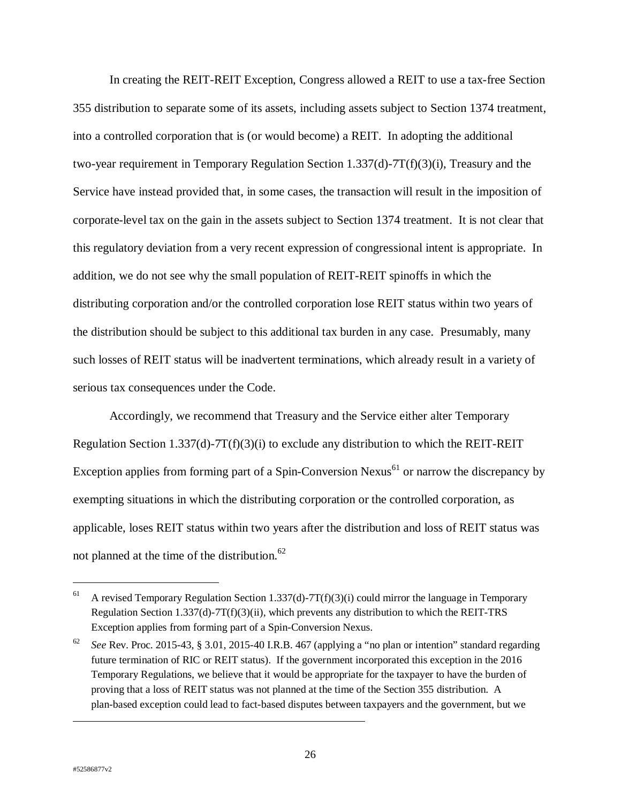In creating the REIT-REIT Exception, Congress allowed a REIT to use a tax-free Section 355 distribution to separate some of its assets, including assets subject to Section 1374 treatment, into a controlled corporation that is (or would become) a REIT. In adopting the additional two-year requirement in Temporary Regulation Section 1.337(d)-7T(f)(3)(i), Treasury and the Service have instead provided that, in some cases, the transaction will result in the imposition of corporate-level tax on the gain in the assets subject to Section 1374 treatment. It is not clear that this regulatory deviation from a very recent expression of congressional intent is appropriate. In addition, we do not see why the small population of REIT-REIT spinoffs in which the distributing corporation and/or the controlled corporation lose REIT status within two years of the distribution should be subject to this additional tax burden in any case. Presumably, many such losses of REIT status will be inadvertent terminations, which already result in a variety of serious tax consequences under the Code.

Accordingly, we recommend that Treasury and the Service either alter Temporary Regulation Section 1.337(d)-7T(f)(3)(i) to exclude any distribution to which the REIT-REIT Exception applies from forming part of a Spin-Conversion Nexus<sup>61</sup> or narrow the discrepancy by exempting situations in which the distributing corporation or the controlled corporation, as applicable, loses REIT status within two years after the distribution and loss of REIT status was not planned at the time of the distribution. $^{62}$ 

 $\ddot{ }$ 

<sup>&</sup>lt;sup>61</sup> A revised Temporary Regulation Section 1.337(d)-7T(f)(3)(i) could mirror the language in Temporary Regulation Section 1.337(d)-7T(f)(3)(ii), which prevents any distribution to which the REIT-TRS Exception applies from forming part of a Spin-Conversion Nexus.

<sup>62</sup> *See* Rev. Proc. 2015-43, § 3.01, 2015-40 I.R.B. 467 (applying a "no plan or intention" standard regarding future termination of RIC or REIT status). If the government incorporated this exception in the 2016 Temporary Regulations, we believe that it would be appropriate for the taxpayer to have the burden of proving that a loss of REIT status was not planned at the time of the Section 355 distribution. A plan-based exception could lead to fact-based disputes between taxpayers and the government, but we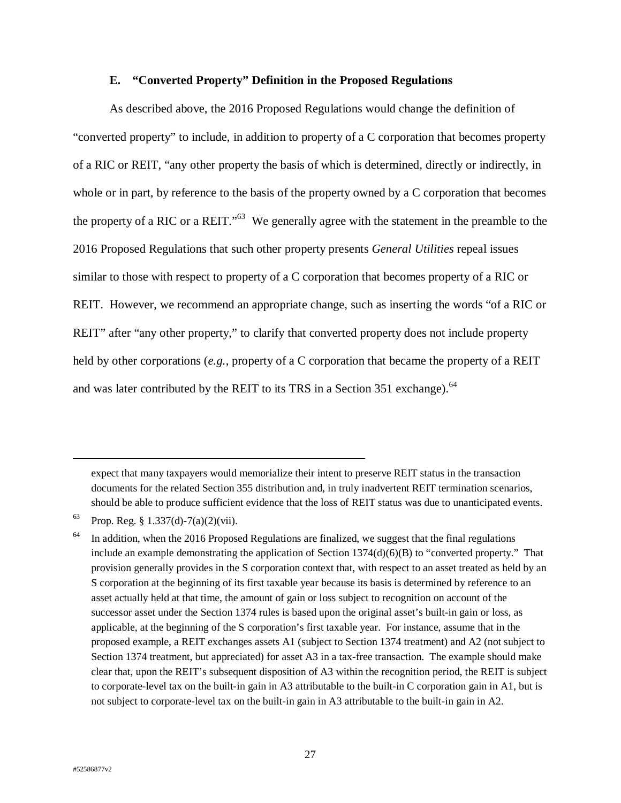#### **E. "Converted Property" Definition in the Proposed Regulations**

As described above, the 2016 Proposed Regulations would change the definition of "converted property" to include, in addition to property of a C corporation that becomes property of a RIC or REIT, "any other property the basis of which is determined, directly or indirectly, in whole or in part, by reference to the basis of the property owned by a C corporation that becomes the property of a RIC or a REIT."63 We generally agree with the statement in the preamble to the 2016 Proposed Regulations that such other property presents *General Utilities* repeal issues similar to those with respect to property of a C corporation that becomes property of a RIC or REIT. However, we recommend an appropriate change, such as inserting the words "of a RIC or REIT" after "any other property," to clarify that converted property does not include property held by other corporations (*e.g.*, property of a C corporation that became the property of a REIT and was later contributed by the REIT to its TRS in a Section 351 exchange).<sup>64</sup>

expect that many taxpayers would memorialize their intent to preserve REIT status in the transaction documents for the related Section 355 distribution and, in truly inadvertent REIT termination scenarios, should be able to produce sufficient evidence that the loss of REIT status was due to unanticipated events.

 $63$  Prop. Reg. § 1.337(d)-7(a)(2)(vii).

<sup>64</sup> In addition, when the 2016 Proposed Regulations are finalized, we suggest that the final regulations include an example demonstrating the application of Section  $1374(d)(6)(B)$  to "converted property." That provision generally provides in the S corporation context that, with respect to an asset treated as held by an S corporation at the beginning of its first taxable year because its basis is determined by reference to an asset actually held at that time, the amount of gain or loss subject to recognition on account of the successor asset under the Section 1374 rules is based upon the original asset's built-in gain or loss, as applicable, at the beginning of the S corporation's first taxable year. For instance, assume that in the proposed example, a REIT exchanges assets A1 (subject to Section 1374 treatment) and A2 (not subject to Section 1374 treatment, but appreciated) for asset A3 in a tax-free transaction. The example should make clear that, upon the REIT's subsequent disposition of A3 within the recognition period, the REIT is subject to corporate-level tax on the built-in gain in A3 attributable to the built-in C corporation gain in A1, but is not subject to corporate-level tax on the built-in gain in A3 attributable to the built-in gain in A2.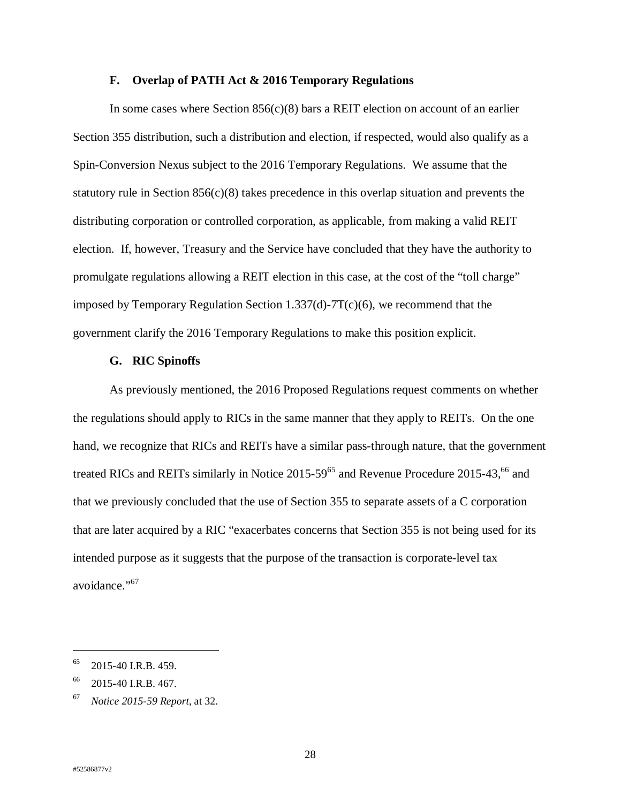#### **F. Overlap of PATH Act & 2016 Temporary Regulations**

In some cases where Section  $856(c)(8)$  bars a REIT election on account of an earlier Section 355 distribution, such a distribution and election, if respected, would also qualify as a Spin-Conversion Nexus subject to the 2016 Temporary Regulations. We assume that the statutory rule in Section  $856(c)(8)$  takes precedence in this overlap situation and prevents the distributing corporation or controlled corporation, as applicable, from making a valid REIT election. If, however, Treasury and the Service have concluded that they have the authority to promulgate regulations allowing a REIT election in this case, at the cost of the "toll charge" imposed by Temporary Regulation Section 1.337(d)-7T(c)(6), we recommend that the government clarify the 2016 Temporary Regulations to make this position explicit.

#### **G. RIC Spinoffs**

As previously mentioned, the 2016 Proposed Regulations request comments on whether the regulations should apply to RICs in the same manner that they apply to REITs. On the one hand, we recognize that RICs and REITs have a similar pass-through nature, that the government treated RICs and REITs similarly in Notice  $2015-59^{65}$  and Revenue Procedure 2015-43,<sup>66</sup> and that we previously concluded that the use of Section 355 to separate assets of a C corporation that are later acquired by a RIC "exacerbates concerns that Section 355 is not being used for its intended purpose as it suggests that the purpose of the transaction is corporate-level tax avoidance."<sup>67</sup>

 $\ddot{ }$ 

 $65$  2015-40 I.R.B. 459.

<sup>&</sup>lt;sup>66</sup> 2015-40 I.R.B. 467.

<sup>67</sup> *Notice 2015-59 Report*, at 32.